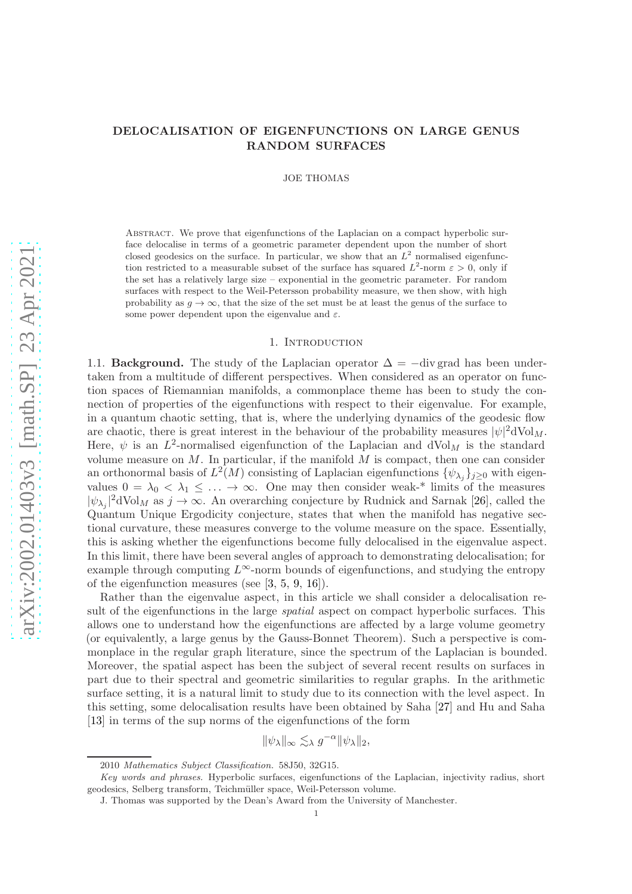# DELOCALISATION OF EIGENFUNCTIONS ON LARGE GENUS RANDOM SURFACES

JOE THOMAS

Abstract. We prove that eigenfunctions of the Laplacian on a compact hyperbolic surface delocalise in terms of a geometric parameter dependent upon the number of short closed geodesics on the surface. In particular, we show that an  $L^2$  normalised eigenfunction restricted to a measurable subset of the surface has squared  $L^2$ -norm  $\varepsilon > 0$ , only if the set has a relatively large size – exponential in the geometric parameter. For random surfaces with respect to the Weil-Petersson probability measure, we then show, with high probability as  $g \to \infty$ , that the size of the set must be at least the genus of the surface to some power dependent upon the eigenvalue and  $\varepsilon$ .

# 1. INTRODUCTION

1.1. **Background.** The study of the Laplacian operator  $\Delta = -\text{div grad}$  has been undertaken from a multitude of different perspectives. When considered as an operator on function spaces of Riemannian manifolds, a commonplace theme has been to study the connection of properties of the eigenfunctions with respect to their eigenvalue. For example, in a quantum chaotic setting, that is, where the underlying dynamics of the geodesic flow are chaotic, there is great interest in the behaviour of the probability measures  $|\psi|^2 dVol_M$ . Here,  $\psi$  is an  $L^2$ -normalised eigenfunction of the Laplacian and dVol<sub>M</sub> is the standard volume measure on  $M$ . In particular, if the manifold  $M$  is compact, then one can consider an orthonormal basis of  $L^2(M)$  consisting of Laplacian eigenfunctions  $\{\psi_{\lambda_j}\}_{j\geq 0}$  with eigenvalues  $0 = \lambda_0 < \lambda_1 \leq \ldots \to \infty$ . One may then consider weak-\* limits of the measures  $|\psi_{\lambda_j}|^2$ dVol<sub>M</sub> as  $j \to \infty$ . An overarching conjecture by Rudnick and Sarnak [\[26\]](#page-19-0), called the Quantum Unique Ergodicity conjecture, states that when the manifold has negative sectional curvature, these measures converge to the volume measure on the space. Essentially, this is asking whether the eigenfunctions become fully delocalised in the eigenvalue aspect. In this limit, there have been several angles of approach to demonstrating delocalisation; for example through computing  $L^{\infty}$ -norm bounds of eigenfunctions, and studying the entropy of the eigenfunction measures (see [\[3,](#page-19-1) [5,](#page-19-2) [9,](#page-19-3) [16\]](#page-19-4)).

Rather than the eigenvalue aspect, in this article we shall consider a delocalisation result of the eigenfunctions in the large *spatial* aspect on compact hyperbolic surfaces. This allows one to understand how the eigenfunctions are affected by a large volume geometry (or equivalently, a large genus by the Gauss-Bonnet Theorem). Such a perspective is commonplace in the regular graph literature, since the spectrum of the Laplacian is bounded. Moreover, the spatial aspect has been the subject of several recent results on surfaces in part due to their spectral and geometric similarities to regular graphs. In the arithmetic surface setting, it is a natural limit to study due to its connection with the level aspect. In this setting, some delocalisation results have been obtained by Saha [\[27\]](#page-19-5) and Hu and Saha [\[13\]](#page-19-6) in terms of the sup norms of the eigenfunctions of the form

$$
\|\psi_\lambda\|_\infty \lesssim_\lambda g^{-\alpha} \|\psi_\lambda\|_2,
$$

<sup>2010</sup> Mathematics Subject Classification. 58J50, 32G15.

Key words and phrases. Hyperbolic surfaces, eigenfunctions of the Laplacian, injectivity radius, short geodesics, Selberg transform, Teichmüller space, Weil-Petersson volume.

J. Thomas was supported by the Dean's Award from the University of Manchester.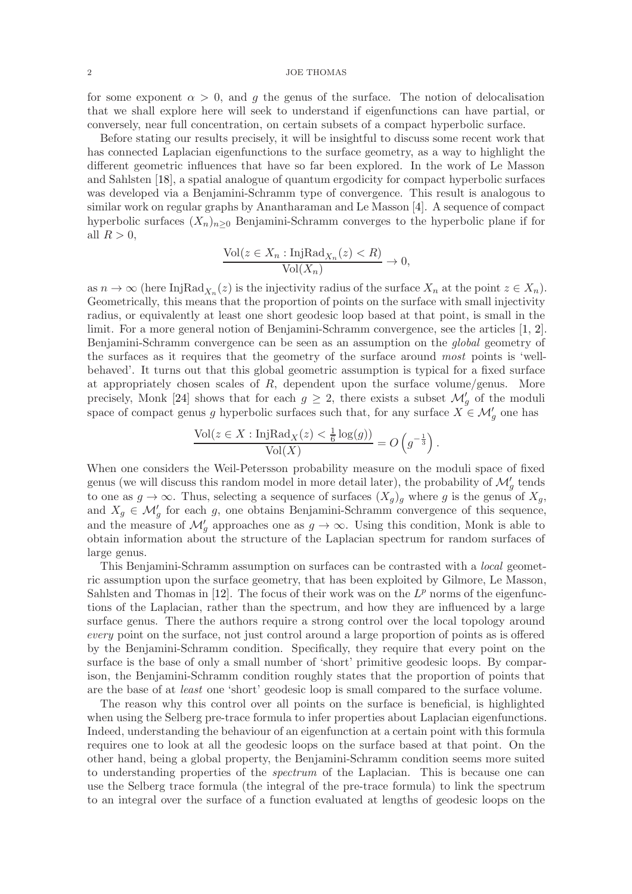for some exponent  $\alpha > 0$ , and g the genus of the surface. The notion of delocalisation that we shall explore here will seek to understand if eigenfunctions can have partial, or conversely, near full concentration, on certain subsets of a compact hyperbolic surface.

Before stating our results precisely, it will be insightful to discuss some recent work that has connected Laplacian eigenfunctions to the surface geometry, as a way to highlight the different geometric influences that have so far been explored. In the work of Le Masson and Sahlsten [\[18\]](#page-19-7), a spatial analogue of quantum ergodicity for compact hyperbolic surfaces was developed via a Benjamini-Schramm type of convergence. This result is analogous to similar work on regular graphs by Anantharaman and Le Masson [\[4\]](#page-19-8). A sequence of compact hyperbolic surfaces  $(X_n)_{n\geq 0}$  Benjamini-Schramm converges to the hyperbolic plane if for all  $R > 0$ ,

$$
\frac{\text{Vol}(z \in X_n : \text{InjRad}_{X_n}(z) < R)}{\text{Vol}(X_n)} \to 0,
$$

as  $n \to \infty$  (here InjRad<sub>Xn</sub> $(z)$ ) is the injectivity radius of the surface  $X_n$  at the point  $z \in X_n$ ). Geometrically, this means that the proportion of points on the surface with small injectivity radius, or equivalently at least one short geodesic loop based at that point, is small in the limit. For a more general notion of Benjamini-Schramm convergence, see the articles [\[1,](#page-19-9) [2\]](#page-19-10). Benjamini-Schramm convergence can be seen as an assumption on the global geometry of the surfaces as it requires that the geometry of the surface around most points is 'wellbehaved'. It turns out that this global geometric assumption is typical for a fixed surface at appropriately chosen scales of  $R$ , dependent upon the surface volume/genus. More precisely, Monk [\[24\]](#page-19-11) shows that for each  $g \geq 2$ , there exists a subset  $\mathcal{M}'_g$  of the moduli space of compact genus g hyperbolic surfaces such that, for any surface  $X \in \mathcal{M}'_g$  one has

$$
\frac{\text{Vol}(z \in X : \text{InjRad}_{X}(z) < \frac{1}{6}\log(g))}{\text{Vol}(X)} = O\left(g^{-\frac{1}{3}}\right).
$$

When one considers the Weil-Petersson probability measure on the moduli space of fixed genus (we will discuss this random model in more detail later), the probability of  $\mathcal{M}'_g$  tends to one as  $g \to \infty$ . Thus, selecting a sequence of surfaces  $(X_g)_g$  where g is the genus of  $X_g$ , and  $X_g \in \mathcal{M}'_g$  for each g, one obtains Benjamini-Schramm convergence of this sequence, and the measure of  $\mathcal{M}'_g$  approaches one as  $g \to \infty$ . Using this condition, Monk is able to obtain information about the structure of the Laplacian spectrum for random surfaces of large genus.

This Benjamini-Schramm assumption on surfaces can be contrasted with a local geometric assumption upon the surface geometry, that has been exploited by Gilmore, Le Masson, Sahlsten and Thomas in [\[12\]](#page-19-12). The focus of their work was on the  $L^p$  norms of the eigenfunctions of the Laplacian, rather than the spectrum, and how they are influenced by a large surface genus. There the authors require a strong control over the local topology around every point on the surface, not just control around a large proportion of points as is offered by the Benjamini-Schramm condition. Specifically, they require that every point on the surface is the base of only a small number of 'short' primitive geodesic loops. By comparison, the Benjamini-Schramm condition roughly states that the proportion of points that are the base of at least one 'short' geodesic loop is small compared to the surface volume.

The reason why this control over all points on the surface is beneficial, is highlighted when using the Selberg pre-trace formula to infer properties about Laplacian eigenfunctions. Indeed, understanding the behaviour of an eigenfunction at a certain point with this formula requires one to look at all the geodesic loops on the surface based at that point. On the other hand, being a global property, the Benjamini-Schramm condition seems more suited to understanding properties of the *spectrum* of the Laplacian. This is because one can use the Selberg trace formula (the integral of the pre-trace formula) to link the spectrum to an integral over the surface of a function evaluated at lengths of geodesic loops on the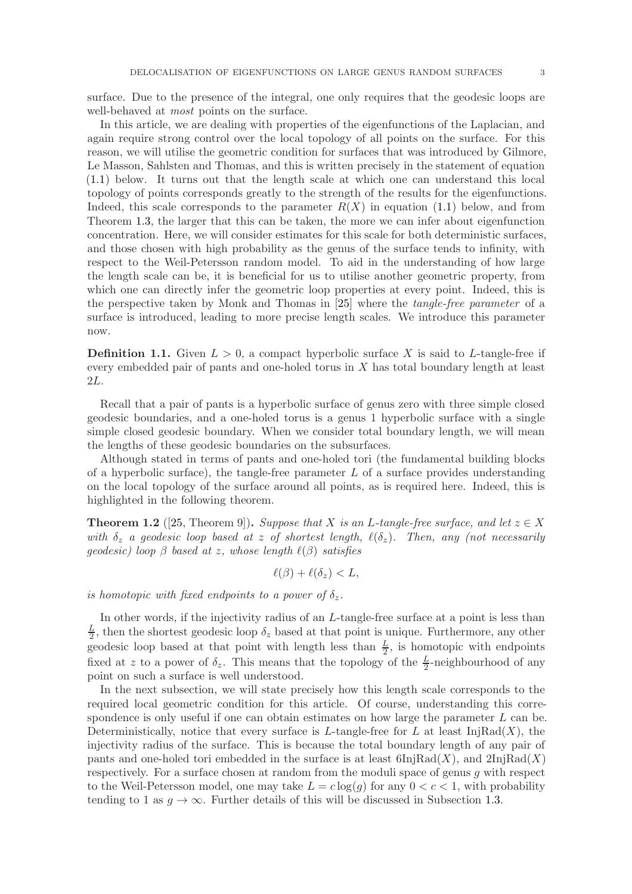surface. Due to the presence of the integral, one only requires that the geodesic loops are well-behaved at *most* points on the surface.

In this article, we are dealing with properties of the eigenfunctions of the Laplacian, and again require strong control over the local topology of all points on the surface. For this reason, we will utilise the geometric condition for surfaces that was introduced by Gilmore, Le Masson, Sahlsten and Thomas, and this is written precisely in the statement of equation [\(1.1\)](#page-3-0) below. It turns out that the length scale at which one can understand this local topology of points corresponds greatly to the strength of the results for the eigenfunctions. Indeed, this scale corresponds to the parameter  $R(X)$  in equation [\(1.1\)](#page-3-0) below, and from Theorem [1.3,](#page-4-0) the larger that this can be taken, the more we can infer about eigenfunction concentration. Here, we will consider estimates for this scale for both deterministic surfaces, and those chosen with high probability as the genus of the surface tends to infinity, with respect to the Weil-Petersson random model. To aid in the understanding of how large the length scale can be, it is beneficial for us to utilise another geometric property, from which one can directly infer the geometric loop properties at every point. Indeed, this is the perspective taken by Monk and Thomas in [\[25\]](#page-19-13) where the tangle-free parameter of a surface is introduced, leading to more precise length scales. We introduce this parameter now.

**Definition 1.1.** Given  $L > 0$ , a compact hyperbolic surface X is said to L-tangle-free if every embedded pair of pants and one-holed torus in  $X$  has total boundary length at least 2L.

Recall that a pair of pants is a hyperbolic surface of genus zero with three simple closed geodesic boundaries, and a one-holed torus is a genus 1 hyperbolic surface with a single simple closed geodesic boundary. When we consider total boundary length, we will mean the lengths of these geodesic boundaries on the subsurfaces.

Although stated in terms of pants and one-holed tori (the fundamental building blocks of a hyperbolic surface), the tangle-free parameter  $L$  of a surface provides understanding on the local topology of the surface around all points, as is required here. Indeed, this is highlighted in the following theorem.

<span id="page-2-0"></span>**Theorem 1.2** ([\[25,](#page-19-13) Theorem 9]). Suppose that X is an L-tangle-free surface, and let  $z \in X$ with  $\delta_z$  a geodesic loop based at z of shortest length,  $\ell(\delta_z)$ . Then, any (not necessarily geodesic) loop  $\beta$  based at z, whose length  $\ell(\beta)$  satisfies

$$
\ell(\beta) + \ell(\delta_z) < L,
$$

is homotopic with fixed endpoints to a power of  $\delta_z$ .

In other words, if the injectivity radius of an L-tangle-free surface at a point is less than L  $\frac{L}{2}$ , then the shortest geodesic loop  $\delta_z$  based at that point is unique. Furthermore, any other geodesic loop based at that point with length less than  $\frac{L}{2}$ , is homotopic with endpoints fixed at z to a power of  $\delta_z$ . This means that the topology of the  $\frac{L}{2}$ -neighbourhood of any point on such a surface is well understood.

In the next subsection, we will state precisely how this length scale corresponds to the required local geometric condition for this article. Of course, understanding this correspondence is only useful if one can obtain estimates on how large the parameter  $L$  can be. Deterministically, notice that every surface is L-tangle-free for L at least  $\text{InjRad}(X)$ , the injectivity radius of the surface. This is because the total boundary length of any pair of pants and one-holed tori embedded in the surface is at least  $6\text{InjRad}(X)$ , and  $2\text{InjRad}(X)$ respectively. For a surface chosen at random from the moduli space of genus g with respect to the Weil-Petersson model, one may take  $L = c \log(q)$  for any  $0 < c < 1$ , with probability tending to 1 as  $g \to \infty$ . Further details of this will be discussed in Subsection [1.3.](#page-4-1)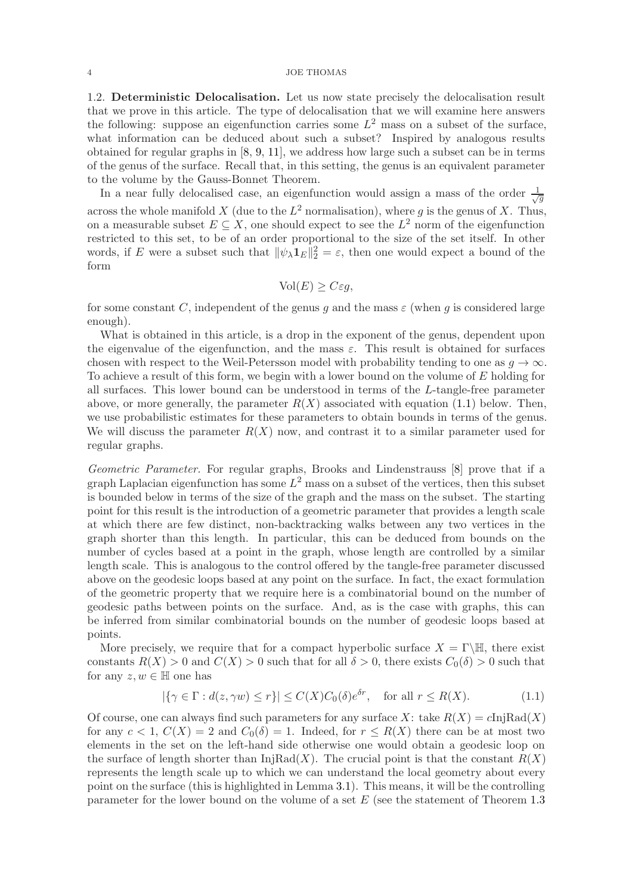1.2. Deterministic Delocalisation. Let us now state precisely the delocalisation result that we prove in this article. The type of delocalisation that we will examine here answers the following: suppose an eigenfunction carries some  $L^2$  mass on a subset of the surface, what information can be deduced about such a subset? Inspired by analogous results obtained for regular graphs in [\[8,](#page-19-14) [9,](#page-19-3) [11\]](#page-19-15), we address how large such a subset can be in terms of the genus of the surface. Recall that, in this setting, the genus is an equivalent parameter to the volume by the Gauss-Bonnet Theorem.

In a near fully delocalised case, an eigenfunction would assign a mass of the order  $\frac{1}{\sqrt{2}}$ g across the whole manifold X (due to the  $L^2$  normalisation), where g is the genus of X. Thus, on a measurable subset  $E \subseteq X$ , one should expect to see the  $L^2$  norm of the eigenfunction restricted to this set, to be of an order proportional to the size of the set itself. In other words, if E were a subset such that  $\|\psi_\lambda \mathbf{1}_E\|_2^2 = \varepsilon$ , then one would expect a bound of the form

$$
\text{Vol}(E) \ge C\varepsilon g,
$$

for some constant C, independent of the genus g and the mass  $\varepsilon$  (when g is considered large enough).

What is obtained in this article, is a drop in the exponent of the genus, dependent upon the eigenvalue of the eigenfunction, and the mass  $\varepsilon$ . This result is obtained for surfaces chosen with respect to the Weil-Petersson model with probability tending to one as  $q \to \infty$ . To achieve a result of this form, we begin with a lower bound on the volume of E holding for all surfaces. This lower bound can be understood in terms of the L-tangle-free parameter above, or more generally, the parameter  $R(X)$  associated with equation [\(1.1\)](#page-3-0) below. Then, we use probabilistic estimates for these parameters to obtain bounds in terms of the genus. We will discuss the parameter  $R(X)$  now, and contrast it to a similar parameter used for regular graphs.

Geometric Parameter. For regular graphs, Brooks and Lindenstrauss [\[8\]](#page-19-14) prove that if a graph Laplacian eigenfunction has some  $L^2$  mass on a subset of the vertices, then this subset is bounded below in terms of the size of the graph and the mass on the subset. The starting point for this result is the introduction of a geometric parameter that provides a length scale at which there are few distinct, non-backtracking walks between any two vertices in the graph shorter than this length. In particular, this can be deduced from bounds on the number of cycles based at a point in the graph, whose length are controlled by a similar length scale. This is analogous to the control offered by the tangle-free parameter discussed above on the geodesic loops based at any point on the surface. In fact, the exact formulation of the geometric property that we require here is a combinatorial bound on the number of geodesic paths between points on the surface. And, as is the case with graphs, this can be inferred from similar combinatorial bounds on the number of geodesic loops based at points.

More precisely, we require that for a compact hyperbolic surface  $X = \Gamma \backslash \mathbb{H}$ , there exist constants  $R(X) > 0$  and  $C(X) > 0$  such that for all  $\delta > 0$ , there exists  $C_0(\delta) > 0$  such that for any  $z, w \in \mathbb{H}$  one has

<span id="page-3-0"></span>
$$
|\{\gamma \in \Gamma : d(z, \gamma w) \le r\}| \le C(X)C_0(\delta)e^{\delta r}, \quad \text{for all } r \le R(X). \tag{1.1}
$$

Of course, one can always find such parameters for any surface X: take  $R(X) = cIniRad(X)$ for any  $c < 1$ ,  $C(X) = 2$  and  $C_0(\delta) = 1$ . Indeed, for  $r \leq R(X)$  there can be at most two elements in the set on the left-hand side otherwise one would obtain a geodesic loop on the surface of length shorter than  $\text{InjRad}(X)$ . The crucial point is that the constant  $R(X)$ represents the length scale up to which we can understand the local geometry about every point on the surface (this is highlighted in Lemma [3.1\)](#page-9-0). This means, it will be the controlling parameter for the lower bound on the volume of a set  $E$  (see the statement of Theorem [1.3](#page-4-0))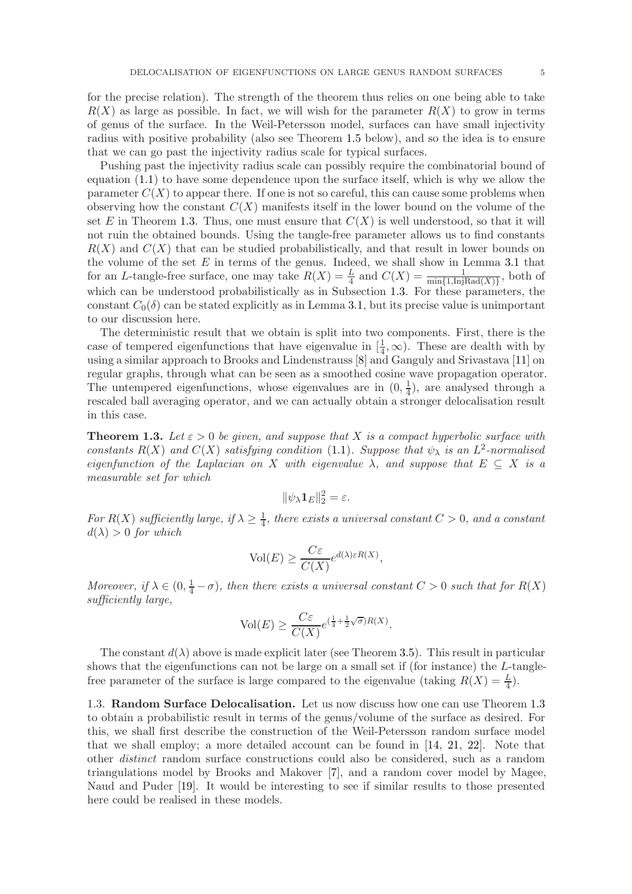for the precise relation). The strength of the theorem thus relies on one being able to take  $R(X)$  as large as possible. In fact, we will wish for the parameter  $R(X)$  to grow in terms of genus of the surface. In the Weil-Petersson model, surfaces can have small injectivity radius with positive probability (also see Theorem [1.5](#page-5-0) below), and so the idea is to ensure that we can go past the injectivity radius scale for typical surfaces.

Pushing past the injectivity radius scale can possibly require the combinatorial bound of equation [\(1.1\)](#page-3-0) to have some dependence upon the surface itself, which is why we allow the parameter  $C(X)$  to appear there. If one is not so careful, this can cause some problems when observing how the constant  $C(X)$  manifests itself in the lower bound on the volume of the set E in Theorem [1.3.](#page-4-0) Thus, one must ensure that  $C(X)$  is well understood, so that it will not ruin the obtained bounds. Using the tangle-free parameter allows us to find constants  $R(X)$  and  $C(X)$  that can be studied probabilistically, and that result in lower bounds on the volume of the set  $E$  in terms of the genus. Indeed, we shall show in Lemma [3.1](#page-9-0) that for an L-tangle-free surface, one may take  $R(X) = \frac{L}{4}$  and  $C(X) = \frac{1}{\min\{1, \text{InjRad}(X)\}}$ , both of which can be understood probabilistically as in Subsection [1.3.](#page-4-1) For these parameters, the constant  $C_0(\delta)$  can be stated explicitly as in Lemma [3.1,](#page-9-0) but its precise value is unimportant to our discussion here.

The deterministic result that we obtain is split into two components. First, there is the case of tempered eigenfunctions that have eigenvalue in  $[\frac{1}{4}, \infty)$ . These are dealth with by using a similar approach to Brooks and Lindenstrauss [\[8\]](#page-19-14) and Ganguly and Srivastava [\[11\]](#page-19-15) on regular graphs, through what can be seen as a smoothed cosine wave propagation operator. The untempered eigenfunctions, whose eigenvalues are in  $(0, \frac{1}{4})$  $(\frac{1}{4})$ , are analysed through a rescaled ball averaging operator, and we can actually obtain a stronger delocalisation result in this case.

<span id="page-4-0"></span>**Theorem 1.3.** Let  $\varepsilon > 0$  be given, and suppose that X is a compact hyperbolic surface with constants  $R(X)$  and  $C(X)$  satisfying condition [\(1.1\)](#page-3-0). Suppose that  $\psi_{\lambda}$  is an  $L^2$ -normalised eigenfunction of the Laplacian on X with eigenvalue  $\lambda$ , and suppose that  $E \subseteq X$  is a measurable set for which

$$
\|\psi_\lambda \mathbf{1}_E\|_2^2 = \varepsilon.
$$

For  $R(X)$  sufficiently large, if  $\lambda \geq \frac{1}{4}$  $\frac{1}{4}$ , there exists a universal constant  $C > 0$ , and a constant  $d(\lambda) > 0$  for which

$$
\text{Vol}(E) \ge \frac{C\varepsilon}{C(X)} e^{d(\lambda)\varepsilon R(X)},
$$

Moreover, if  $\lambda \in (0, \frac{1}{4} - \sigma)$ , then there exists a universal constant  $C > 0$  such that for  $R(X)$ sufficiently large,

$$
\text{Vol}(E) \ge \frac{C\varepsilon}{C(X)} e^{\left(\frac{1}{4} + \frac{1}{2}\sqrt{\sigma}\right)R(X)}.
$$

The constant  $d(\lambda)$  above is made explicit later (see Theorem [3.5\)](#page-13-0). This result in particular shows that the eigenfunctions can not be large on a small set if (for instance) the L-tanglefree parameter of the surface is large compared to the eigenvalue (taking  $R(X) = \frac{L}{4}$ ).

<span id="page-4-1"></span>1.3. Random Surface Delocalisation. Let us now discuss how one can use Theorem [1.3](#page-4-0) to obtain a probabilistic result in terms of the genus/volume of the surface as desired. For this, we shall first describe the construction of the Weil-Petersson random surface model that we shall employ; a more detailed account can be found in [\[14,](#page-19-16) [21,](#page-19-17) [22\]](#page-19-18). Note that other distinct random surface constructions could also be considered, such as a random triangulations model by Brooks and Makover [\[7\]](#page-19-19), and a random cover model by Magee, Naud and Puder [\[19\]](#page-19-20). It would be interesting to see if similar results to those presented here could be realised in these models.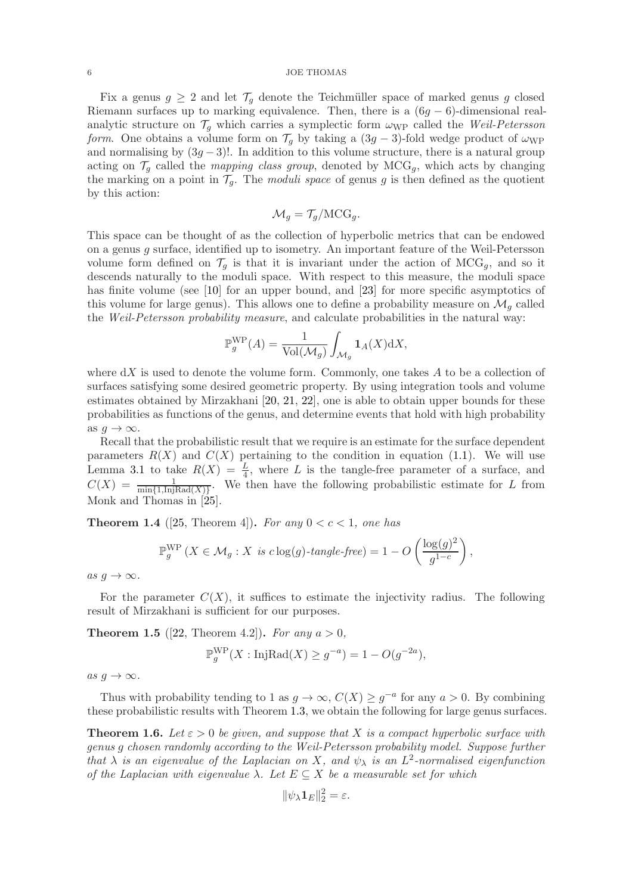Fix a genus  $g \geq 2$  and let  $\mathcal{T}_g$  denote the Teichmüller space of marked genus g closed Riemann surfaces up to marking equivalence. Then, there is a  $(6g - 6)$ -dimensional realanalytic structure on  $\mathcal{T}_g$  which carries a symplectic form  $\omega_{\text{WP}}$  called the Weil-Petersson form. One obtains a volume form on  $\mathcal{T}_q$  by taking a  $(3g-3)$ -fold wedge product of  $\omega_{\text{WP}}$ and normalising by  $(3g-3)!$ . In addition to this volume structure, there is a natural group acting on  $\mathcal{T}_g$  called the *mapping class group*, denoted by  $MCG_g$ , which acts by changing the marking on a point in  $\mathcal{T}_q$ . The *moduli space* of genus g is then defined as the quotient by this action:

$$
\mathcal{M}_g = \mathcal{T}_g/\mathrm{MCG}_g.
$$

This space can be thought of as the collection of hyperbolic metrics that can be endowed on a genus g surface, identified up to isometry. An important feature of the Weil-Petersson volume form defined on  $\mathcal{T}_q$  is that it is invariant under the action of  $MCG_q$ , and so it descends naturally to the moduli space. With respect to this measure, the moduli space has finite volume (see [\[10\]](#page-19-21) for an upper bound, and [\[23\]](#page-19-22) for more specific asymptotics of this volume for large genus). This allows one to define a probability measure on  $\mathcal{M}_g$  called the Weil-Petersson probability measure, and calculate probabilities in the natural way:

$$
\mathbb{P}_{g}^{\text{WP}}(A) = \frac{1}{\text{Vol}(\mathcal{M}_g)} \int_{\mathcal{M}_g} \mathbf{1}_A(X) \, \mathrm{d}X,
$$

where  $dX$  is used to denote the volume form. Commonly, one takes  $A$  to be a collection of surfaces satisfying some desired geometric property. By using integration tools and volume estimates obtained by Mirzakhani [\[20,](#page-19-23) [21,](#page-19-17) [22\]](#page-19-18), one is able to obtain upper bounds for these probabilities as functions of the genus, and determine events that hold with high probability as  $q \to \infty$ .

Recall that the probabilistic result that we require is an estimate for the surface dependent parameters  $R(X)$  and  $C(X)$  pertaining to the condition in equation [\(1.1\)](#page-3-0). We will use Lemma [3.1](#page-9-0) to take  $R(X) = \frac{L}{4}$ , where L is the tangle-free parameter of a surface, and  $C(X) = \frac{1}{\min\{1,\text{InjRad}(X)\}}$ . We then have the following probabilistic estimate for L from Monk and Thomas in [\[25\]](#page-19-13).

<span id="page-5-2"></span>**Theorem 1.4** ([\[25,](#page-19-13) Theorem 4]). For any  $0 < c < 1$ , one has

$$
\mathbb{P}_g^{\text{WP}}\left(X \in \mathcal{M}_g : X \text{ is } c \log(g) \text{-}tangle \text{-}free\right) = 1 - O\left(\frac{\log(g)^2}{g^{1-c}}\right),
$$

as  $g \to \infty$ .

For the parameter  $C(X)$ , it suffices to estimate the injectivity radius. The following result of Mirzakhani is sufficient for our purposes.

<span id="page-5-0"></span>**Theorem 1.5** ([\[22,](#page-19-18) Theorem 4.2]). For any  $a > 0$ ,

$$
\mathbb{P}_g^{\text{WP}}(X:\text{InjRad}(X) \ge g^{-a}) = 1 - O(g^{-2a}),
$$

as  $q \to \infty$ .

Thus with probability tending to 1 as  $g \to \infty$ ,  $C(X) \geq g^{-a}$  for any  $a > 0$ . By combining these probabilistic results with Theorem [1.3,](#page-4-0) we obtain the following for large genus surfaces.

<span id="page-5-1"></span>**Theorem 1.6.** Let  $\varepsilon > 0$  be given, and suppose that X is a compact hyperbolic surface with genus g chosen randomly according to the Weil-Petersson probability model. Suppose further that  $\lambda$  is an eigenvalue of the Laplacian on X, and  $\psi_{\lambda}$  is an  $L^2$ -normalised eigenfunction of the Laplacian with eigenvalue  $\lambda$ . Let  $E \subseteq X$  be a measurable set for which

$$
\|\psi_\lambda \mathbf{1}_E\|_2^2 = \varepsilon.
$$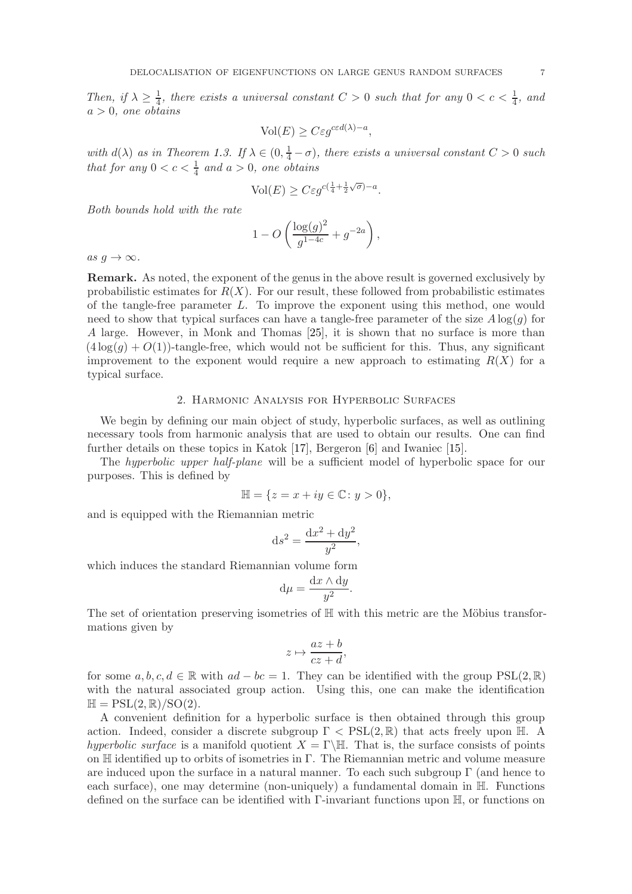Then, if  $\lambda \geq \frac{1}{4}$  $\frac{1}{4}$ , there exists a universal constant  $C > 0$  such that for any  $0 < c < \frac{1}{4}$ , and  $a > 0$ , one obtains

$$
\text{Vol}(E) \geq C \varepsilon g^{c\varepsilon d(\lambda) - a},
$$

with  $d(\lambda)$  as in Theorem [1.3.](#page-4-0) If  $\lambda \in (0, \frac{1}{4} - \sigma)$ , there exists a universal constant  $C > 0$  such that for any  $0 < c < \frac{1}{4}$  and  $a > 0$ , one obtains

$$
\text{Vol}(E) \ge C\varepsilon g^{c(\frac{1}{4} + \frac{1}{2}\sqrt{\sigma}) - a}.
$$

Both bounds hold with the rate

$$
1 - O\left(\frac{\log(g)^2}{g^{1-4c}} + g^{-2a}\right),\,
$$

as  $g \to \infty$ .

Remark. As noted, the exponent of the genus in the above result is governed exclusively by probabilistic estimates for  $R(X)$ . For our result, these followed from probabilistic estimates of the tangle-free parameter L. To improve the exponent using this method, one would need to show that typical surfaces can have a tangle-free parameter of the size  $A \log(g)$  for A large. However, in Monk and Thomas [\[25\]](#page-19-13), it is shown that no surface is more than  $(4 \log(q) + O(1))$ -tangle-free, which would not be sufficient for this. Thus, any significant improvement to the exponent would require a new approach to estimating  $R(X)$  for a typical surface.

# 2. Harmonic Analysis for Hyperbolic Surfaces

<span id="page-6-0"></span>We begin by defining our main object of study, hyperbolic surfaces, as well as outlining necessary tools from harmonic analysis that are used to obtain our results. One can find further details on these topics in Katok [\[17\]](#page-19-24), Bergeron [\[6\]](#page-19-25) and Iwaniec [\[15\]](#page-19-26).

The *hyperbolic upper half-plane* will be a sufficient model of hyperbolic space for our purposes. This is defined by

$$
\mathbb{H} = \{ z = x + iy \in \mathbb{C} \colon y > 0 \},
$$

and is equipped with the Riemannian metric

$$
\mathrm{d}s^2 = \frac{\mathrm{d}x^2 + \mathrm{d}y^2}{y^2},
$$

which induces the standard Riemannian volume form

$$
\mathrm{d}\mu = \frac{\mathrm{d}x \wedge \mathrm{d}y}{y^2}.
$$

The set of orientation preserving isometries of  $H$  with this metric are the Möbius transformations given by

$$
z \mapsto \frac{az+b}{cz+d},
$$

for some  $a, b, c, d \in \mathbb{R}$  with  $ad - bc = 1$ . They can be identified with the group PSL(2,  $\mathbb{R}$ ) with the natural associated group action. Using this, one can make the identification  $\mathbb{H} = \text{PSL}(2, \mathbb{R})/\text{SO}(2).$ 

A convenient definition for a hyperbolic surface is then obtained through this group action. Indeed, consider a discrete subgroup  $\Gamma < \text{PSL}(2,\mathbb{R})$  that acts freely upon H. A hyperbolic surface is a manifold quotient  $X = \Gamma \backslash \mathbb{H}$ . That is, the surface consists of points on  $\mathbb H$  identified up to orbits of isometries in  $\Gamma$ . The Riemannian metric and volume measure are induced upon the surface in a natural manner. To each such subgroup Γ (and hence to each surface), one may determine (non-uniquely) a fundamental domain in H. Functions defined on the surface can be identified with Γ-invariant functions upon H, or functions on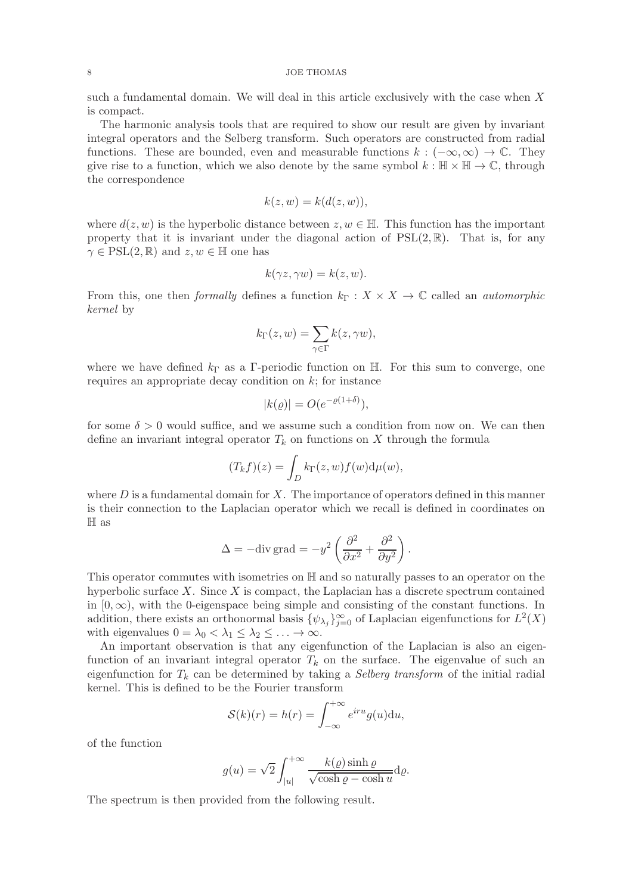such a fundamental domain. We will deal in this article exclusively with the case when  $X$ is compact.

The harmonic analysis tools that are required to show our result are given by invariant integral operators and the Selberg transform. Such operators are constructed from radial functions. These are bounded, even and measurable functions  $k : (-\infty, \infty) \to \mathbb{C}$ . They give rise to a function, which we also denote by the same symbol  $k : \mathbb{H} \times \mathbb{H} \to \mathbb{C}$ , through the correspondence

$$
k(z, w) = k(d(z, w)),
$$

where  $d(z, w)$  is the hyperbolic distance between  $z, w \in \mathbb{H}$ . This function has the important property that it is invariant under the diagonal action of  $PSL(2,\mathbb{R})$ . That is, for any  $\gamma \in \text{PSL}(2, \mathbb{R})$  and  $z, w \in \mathbb{H}$  one has

$$
k(\gamma z, \gamma w) = k(z, w).
$$

From this, one then *formally* defines a function  $k_{\Gamma}: X \times X \to \mathbb{C}$  called an *automorphic* kernel by

$$
k_{\Gamma}(z, w) = \sum_{\gamma \in \Gamma} k(z, \gamma w),
$$

where we have defined  $k_{\Gamma}$  as a Γ-periodic function on H. For this sum to converge, one requires an appropriate decay condition on  $k$ ; for instance

$$
|k(\varrho)| = O(e^{-\varrho(1+\delta)}),
$$

for some  $\delta > 0$  would suffice, and we assume such a condition from now on. We can then define an invariant integral operator  $T_k$  on functions on X through the formula

$$
(T_k f)(z) = \int_D k_{\Gamma}(z, w) f(w) d\mu(w),
$$

where  $D$  is a fundamental domain for  $X$ . The importance of operators defined in this manner is their connection to the Laplacian operator which we recall is defined in coordinates on H as

$$
\Delta = -\text{div grad} = -y^2 \left( \frac{\partial^2}{\partial x^2} + \frac{\partial^2}{\partial y^2} \right).
$$

This operator commutes with isometries on H and so naturally passes to an operator on the hyperbolic surface  $X$ . Since  $X$  is compact, the Laplacian has a discrete spectrum contained in  $[0, \infty)$ , with the 0-eigenspace being simple and consisting of the constant functions. In addition, there exists an orthonormal basis  $\{\psi_{\lambda_j}\}_{j=0}^{\infty}$  of Laplacian eigenfunctions for  $L^2(X)$ with eigenvalues  $0 = \lambda_0 < \lambda_1 \leq \lambda_2 \leq \ldots \to \infty$ .

An important observation is that any eigenfunction of the Laplacian is also an eigenfunction of an invariant integral operator  $T_k$  on the surface. The eigenvalue of such an eigenfunction for  $T_k$  can be determined by taking a *Selberg transform* of the initial radial kernel. This is defined to be the Fourier transform

$$
\mathcal{S}(k)(r) = h(r) = \int_{-\infty}^{+\infty} e^{iru} g(u) \mathrm{d}u,
$$

of the function

$$
g(u) = \sqrt{2} \int_{|u|}^{+\infty} \frac{k(\varrho) \sinh \varrho}{\sqrt{\cosh \varrho - \cosh u}} d\varrho.
$$

The spectrum is then provided from the following result.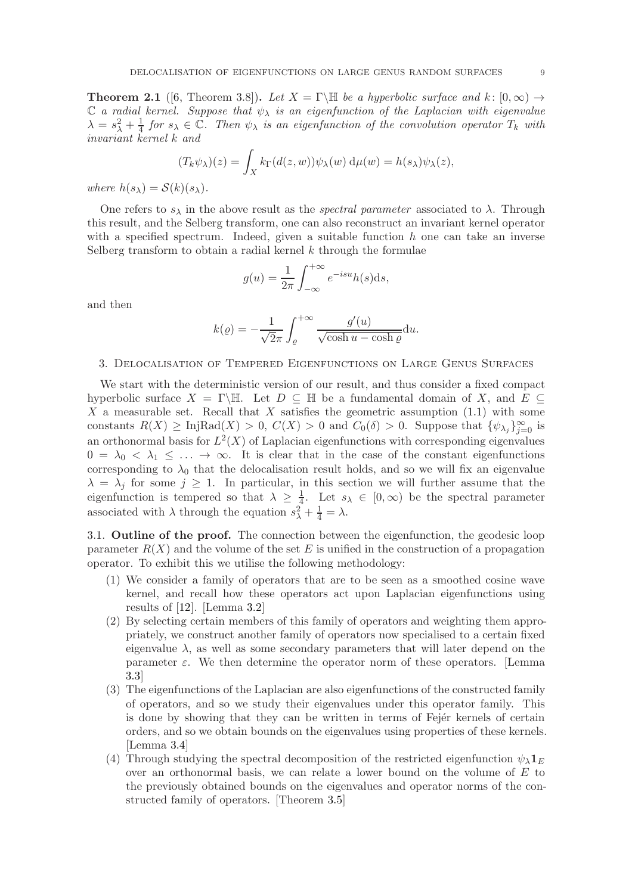**Theorem 2.1** ([\[6,](#page-19-25) Theorem 3.8]). Let  $X = \Gamma \backslash \mathbb{H}$  be a hyperbolic surface and k:  $[0, \infty) \rightarrow$  $\mathbb C$  a radial kernel. Suppose that  $\psi_{\lambda}$  is an eigenfunction of the Laplacian with eigenvalue  $\lambda = s_\lambda^2 + \frac{1}{4}$  $\frac{1}{4}$  for  $s_{\lambda} \in \mathbb{C}$ . Then  $\psi_{\lambda}$  is an eigenfunction of the convolution operator  $T_k$  with invariant kernel k and

$$
(T_k \psi_\lambda)(z) = \int_X k_\Gamma(d(z, w)) \psi_\lambda(w) d\mu(w) = h(s_\lambda) \psi_\lambda(z),
$$

where  $h(s_\lambda) = \mathcal{S}(k)(s_\lambda)$ .

One refers to  $s_{\lambda}$  in the above result as the *spectral parameter* associated to  $\lambda$ . Through this result, and the Selberg transform, one can also reconstruct an invariant kernel operator with a specified spectrum. Indeed, given a suitable function  $h$  one can take an inverse Selberg transform to obtain a radial kernel  $k$  through the formulae

$$
g(u) = \frac{1}{2\pi} \int_{-\infty}^{+\infty} e^{-isu} h(s) \mathrm{d}s,
$$

and then

$$
k(\varrho) = -\frac{1}{\sqrt{2}\pi} \int_{\varrho}^{+\infty} \frac{g'(u)}{\sqrt{\cosh u - \cosh \varrho}} du.
$$

## 3. Delocalisation of Tempered Eigenfunctions on Large Genus Surfaces

We start with the deterministic version of our result, and thus consider a fixed compact hyperbolic surface  $X = \Gamma \backslash \mathbb{H}$ . Let  $D \subseteq \mathbb{H}$  be a fundamental domain of X, and  $E \subseteq$ X a measurable set. Recall that  $X$  satisfies the geometric assumption  $(1.1)$  with some constants  $R(X) \geq \text{InjRad}(X) > 0, C(X) > 0$  and  $C_0(\delta) > 0$ . Suppose that  $\{\psi_{\lambda_j}\}_{j=0}^{\infty}$  is an orthonormal basis for  $L^2(X)$  of Laplacian eigenfunctions with corresponding eigenvalues  $0 = \lambda_0 < \lambda_1 \leq \ldots \to \infty$ . It is clear that in the case of the constant eigenfunctions corresponding to  $\lambda_0$  that the delocalisation result holds, and so we will fix an eigenvalue  $\lambda = \lambda_j$  for some  $j \geq 1$ . In particular, in this section we will further assume that the eigenfunction is tempered so that  $\lambda \geq \frac{1}{4}$  $\frac{1}{4}$ . Let  $s_{\lambda} \in [0, \infty)$  be the spectral parameter associated with  $\lambda$  through the equation  $s_{\lambda}^2 + \frac{1}{4} = \lambda$ .

3.1. Outline of the proof. The connection between the eigenfunction, the geodesic loop parameter  $R(X)$  and the volume of the set E is unified in the construction of a propagation operator. To exhibit this we utilise the following methodology:

- (1) We consider a family of operators that are to be seen as a smoothed cosine wave kernel, and recall how these operators act upon Laplacian eigenfunctions using results of [\[12\]](#page-19-12). [Lemma [3.2\]](#page-11-0)
- (2) By selecting certain members of this family of operators and weighting them appropriately, we construct another family of operators now specialised to a certain fixed eigenvalue  $\lambda$ , as well as some secondary parameters that will later depend on the parameter  $\varepsilon$ . We then determine the operator norm of these operators. [Lemma [3.3\]](#page-11-1)
- (3) The eigenfunctions of the Laplacian are also eigenfunctions of the constructed family of operators, and so we study their eigenvalues under this operator family. This is done by showing that they can be written in terms of Fejer kernels of certain orders, and so we obtain bounds on the eigenvalues using properties of these kernels. [Lemma [3.4\]](#page-12-0)
- (4) Through studying the spectral decomposition of the restricted eigenfunction  $\psi_{\lambda} 1_{E}$ over an orthonormal basis, we can relate a lower bound on the volume of  $E$  to the previously obtained bounds on the eigenvalues and operator norms of the constructed family of operators. [Theorem [3.5\]](#page-13-0)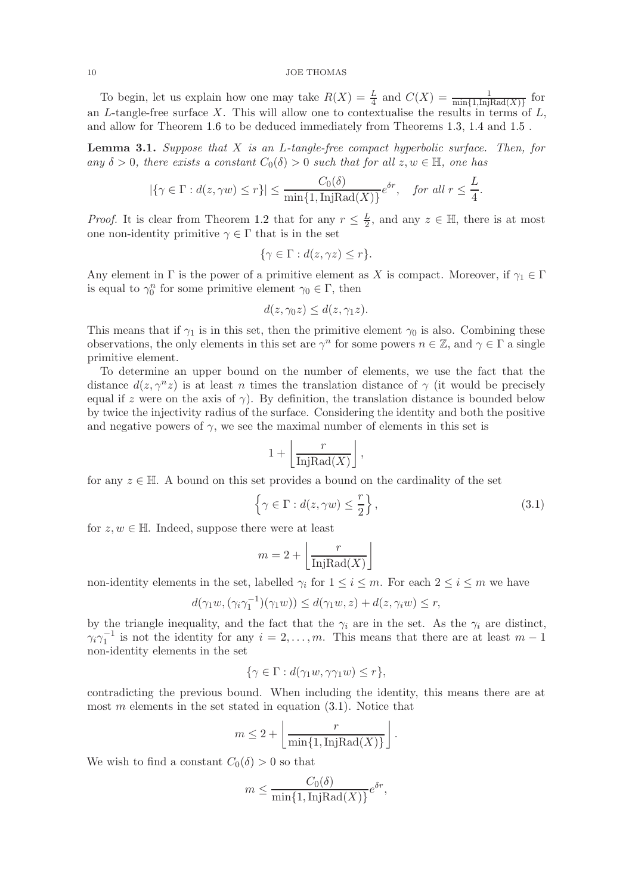To begin, let us explain how one may take  $R(X) = \frac{L}{4}$  and  $C(X) = \frac{1}{\min\{1, \text{InjRad}(X)\}}$  for an L-tangle-free surface X. This will allow one to contextualise the results in terms of  $L$ , and allow for Theorem [1.6](#page-5-1) to be deduced immediately from Theorems [1.3,](#page-4-0) [1.4](#page-5-2) and [1.5](#page-5-0) .

<span id="page-9-0"></span>**Lemma 3.1.** Suppose that  $X$  is an L-tangle-free compact hyperbolic surface. Then, for any  $\delta > 0$ , there exists a constant  $C_0(\delta) > 0$  such that for all  $z, w \in \mathbb{H}$ , one has

$$
|\{\gamma \in \Gamma : d(z, \gamma w) \le r\}| \le \frac{C_0(\delta)}{\min\{1, \text{InjRad}(X)\}} e^{\delta r}, \text{ for all } r \le \frac{L}{4}.
$$

*Proof.* It is clear from Theorem [1.2](#page-2-0) that for any  $r \leq \frac{L}{2}$  $\frac{L}{2}$ , and any  $z \in \mathbb{H}$ , there is at most one non-identity primitive  $\gamma \in \Gamma$  that is in the set

$$
\{\gamma \in \Gamma : d(z, \gamma z) \le r\}.
$$

Any element in  $\Gamma$  is the power of a primitive element as X is compact. Moreover, if  $\gamma_1 \in \Gamma$ is equal to  $\gamma_0^n$  for some primitive element  $\gamma_0 \in \Gamma$ , then

$$
d(z, \gamma_0 z) \leq d(z, \gamma_1 z).
$$

This means that if  $\gamma_1$  is in this set, then the primitive element  $\gamma_0$  is also. Combining these observations, the only elements in this set are  $\gamma^n$  for some powers  $n \in \mathbb{Z}$ , and  $\gamma \in \Gamma$  a single primitive element.

To determine an upper bound on the number of elements, we use the fact that the distance  $d(z, \gamma^n z)$  is at least n times the translation distance of  $\gamma$  (it would be precisely equal if z were on the axis of  $\gamma$ ). By definition, the translation distance is bounded below by twice the injectivity radius of the surface. Considering the identity and both the positive and negative powers of  $\gamma$ , we see the maximal number of elements in this set is

<span id="page-9-1"></span>
$$
1 + \left\lfloor \frac{r}{\text{InjRad}(X)} \right\rfloor,
$$

for any  $z \in \mathbb{H}$ . A bound on this set provides a bound on the cardinality of the set

$$
\left\{\gamma \in \Gamma : d(z, \gamma w) \le \frac{r}{2}\right\},\tag{3.1}
$$

for  $z, w \in \mathbb{H}$ . Indeed, suppose there were at least

$$
m = 2 + \left\lfloor \frac{r}{\text{InjRad}(X)} \right\rfloor
$$

non-identity elements in the set, labelled  $\gamma_i$  for  $1 \leq i \leq m$ . For each  $2 \leq i \leq m$  we have

$$
d(\gamma_1 w, (\gamma_i \gamma_1^{-1})(\gamma_1 w)) \leq d(\gamma_1 w, z) + d(z, \gamma_i w) \leq r,
$$

by the triangle inequality, and the fact that the  $\gamma_i$  are in the set. As the  $\gamma_i$  are distinct,  $\gamma_i\gamma_1^{-1}$  is not the identity for any  $i=2,\ldots,m$ . This means that there are at least  $m-1$ non-identity elements in the set

$$
\{\gamma \in \Gamma : d(\gamma_1 w, \gamma \gamma_1 w) \le r\},\
$$

contradicting the previous bound. When including the identity, this means there are at most  $m$  elements in the set stated in equation  $(3.1)$ . Notice that

$$
m \leq 2 + \left\lfloor \frac{r}{\min\{1, \text{InjRad}(X)\}} \right\rfloor.
$$

We wish to find a constant  $C_0(\delta) > 0$  so that

$$
m \le \frac{C_0(\delta)}{\min\{1, \text{InjRad}(X)\}} e^{\delta r},
$$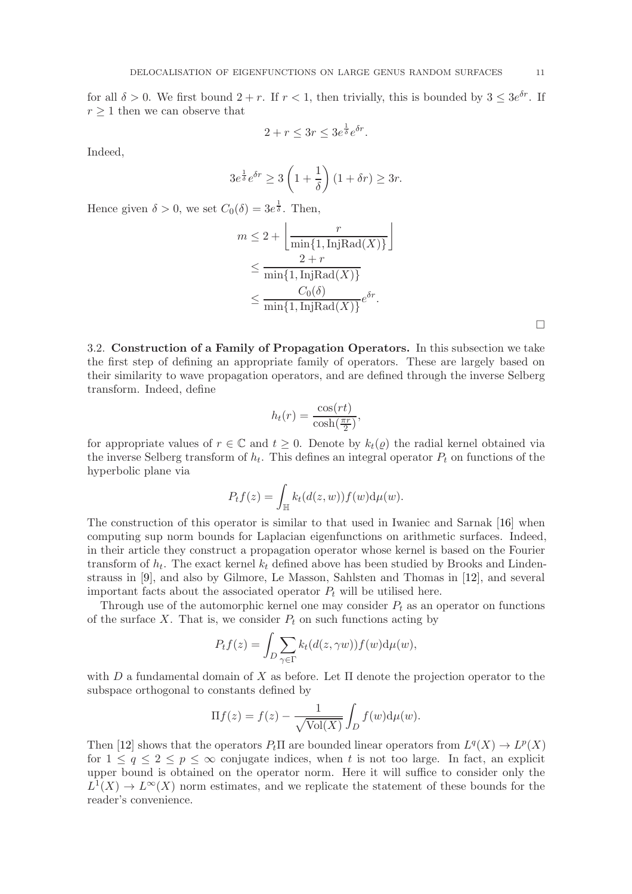for all  $\delta > 0$ . We first bound  $2 + r$ . If  $r < 1$ , then trivially, this is bounded by  $3 \leq 3e^{\delta r}$ . If  $r \geq 1$  then we can observe that

$$
2 + r \le 3r \le 3e^{\frac{1}{\delta}}e^{\delta r}.
$$

Indeed,

$$
3e^{\frac{1}{\delta}}e^{\delta r} \ge 3\left(1+\frac{1}{\delta}\right)(1+\delta r) \ge 3r.
$$

Hence given  $\delta > 0$ , we set  $C_0(\delta) = 3e^{\frac{1}{\delta}}$ . Then,

$$
m \leq 2 + \left\lfloor \frac{r}{\min\{1, \text{InjRad}(X)\}} \right\rfloor
$$
  

$$
\leq \frac{2+r}{\min\{1, \text{InjRad}(X)\}}
$$
  

$$
\leq \frac{C_0(\delta)}{\min\{1, \text{InjRad}(X)\}} e^{\delta r}.
$$

 $\Box$ 

3.2. Construction of a Family of Propagation Operators. In this subsection we take the first step of defining an appropriate family of operators. These are largely based on their similarity to wave propagation operators, and are defined through the inverse Selberg transform. Indeed, define

$$
h_t(r) = \frac{\cos(rt)}{\cosh(\frac{\pi r}{2})},
$$

for appropriate values of  $r \in \mathbb{C}$  and  $t \geq 0$ . Denote by  $k_t(q)$  the radial kernel obtained via the inverse Selberg transform of  $h_t$ . This defines an integral operator  $P_t$  on functions of the hyperbolic plane via

$$
P_t f(z) = \int_{\mathbb{H}} k_t(d(z, w)) f(w) d\mu(w).
$$

The construction of this operator is similar to that used in Iwaniec and Sarnak [\[16\]](#page-19-4) when computing sup norm bounds for Laplacian eigenfunctions on arithmetic surfaces. Indeed, in their article they construct a propagation operator whose kernel is based on the Fourier transform of  $h_t$ . The exact kernel  $k_t$  defined above has been studied by Brooks and Lindenstrauss in [\[9\]](#page-19-3), and also by Gilmore, Le Masson, Sahlsten and Thomas in [\[12\]](#page-19-12), and several important facts about the associated operator  $P_t$  will be utilised here.

Through use of the automorphic kernel one may consider  $P_t$  as an operator on functions of the surface  $X$ . That is, we consider  $P_t$  on such functions acting by

$$
P_t f(z) = \int_D \sum_{\gamma \in \Gamma} k_t(d(z, \gamma w)) f(w) d\mu(w),
$$

with D a fundamental domain of X as before. Let  $\Pi$  denote the projection operator to the subspace orthogonal to constants defined by

$$
\Pi f(z) = f(z) - \frac{1}{\sqrt{\text{Vol}(X)}} \int_D f(w) \mathrm{d}\mu(w).
$$

Then [\[12\]](#page-19-12) shows that the operators  $P_t \Pi$  are bounded linear operators from  $L^q(X) \to L^p(X)$ for  $1 \le q \le 2 \le p \le \infty$  conjugate indices, when t is not too large. In fact, an explicit upper bound is obtained on the operator norm. Here it will suffice to consider only the  $L^1(X) \to L^{\infty}(X)$  norm estimates, and we replicate the statement of these bounds for the reader's convenience.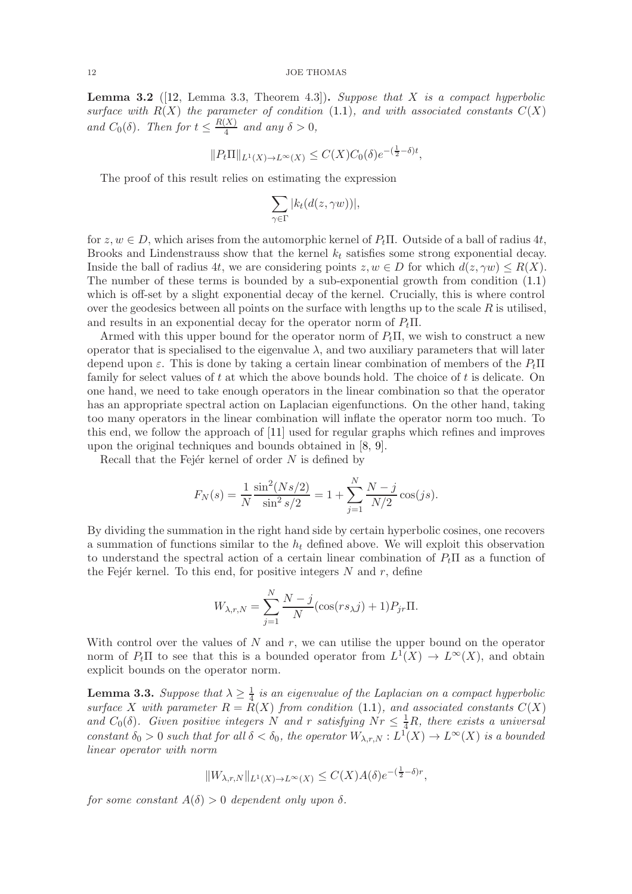<span id="page-11-0"></span>**Lemma 3.2** ([\[12,](#page-19-12) Lemma 3.3, Theorem 4.3]). Suppose that X is a compact hyperbolic surface with  $R(X)$  the parameter of condition [\(1.1\)](#page-3-0), and with associated constants  $C(X)$ and  $C_0(\delta)$ . Then for  $t \leq \frac{R(X)}{4}$  $\frac{A}{4}$  and any  $\delta > 0$ ,

$$
||P_t \Pi||_{L^1(X) \to L^\infty(X)} \leq C(X) C_0(\delta) e^{-(\frac{1}{2}-\delta)t},
$$

The proof of this result relies on estimating the expression

$$
\sum_{\gamma \in \Gamma} |k_t(d(z, \gamma w))|,
$$

for  $z, w \in D$ , which arises from the automorphic kernel of  $P_t \Pi$ . Outside of a ball of radius 4t, Brooks and Lindenstrauss show that the kernel  $k_t$  satisfies some strong exponential decay. Inside the ball of radius 4t, we are considering points  $z, w \in D$  for which  $d(z, \gamma w) \leq R(X)$ . The number of these terms is bounded by a sub-exponential growth from condition [\(1.1\)](#page-3-0) which is off-set by a slight exponential decay of the kernel. Crucially, this is where control over the geodesics between all points on the surface with lengths up to the scale  $R$  is utilised, and results in an exponential decay for the operator norm of  $P_t\Pi$ .

Armed with this upper bound for the operator norm of  $P_t\Pi$ , we wish to construct a new operator that is specialised to the eigenvalue  $\lambda$ , and two auxiliary parameters that will later depend upon  $\varepsilon$ . This is done by taking a certain linear combination of members of the  $P_t\Pi$ family for select values of  $t$  at which the above bounds hold. The choice of  $t$  is delicate. On one hand, we need to take enough operators in the linear combination so that the operator has an appropriate spectral action on Laplacian eigenfunctions. On the other hand, taking too many operators in the linear combination will inflate the operator norm too much. To this end, we follow the approach of [\[11\]](#page-19-15) used for regular graphs which refines and improves upon the original techniques and bounds obtained in [\[8,](#page-19-14) [9\]](#page-19-3).

Recall that the Fejér kernel of order  $N$  is defined by

$$
F_N(s) = \frac{1}{N} \frac{\sin^2(Ns/2)}{\sin^2 s/2} = 1 + \sum_{j=1}^{N} \frac{N-j}{N/2} \cos(js).
$$

By dividing the summation in the right hand side by certain hyperbolic cosines, one recovers a summation of functions similar to the  $h_t$  defined above. We will exploit this observation to understand the spectral action of a certain linear combination of  $P_t\Pi$  as a function of the Fejer kernel. To this end, for positive integers  $N$  and  $r$ , define

$$
W_{\lambda,r,N} = \sum_{j=1}^{N} \frac{N-j}{N} (\cos(rs_\lambda j) + 1) P_{jr} \Pi.
$$

With control over the values of N and r, we can utilise the upper bound on the operator norm of  $P_t \Pi$  to see that this is a bounded operator from  $L^1(X) \to L^{\infty}(X)$ , and obtain explicit bounds on the operator norm.

<span id="page-11-1"></span>**Lemma 3.3.** Suppose that  $\lambda \geq \frac{1}{4}$  $\frac{1}{4}$  is an eigenvalue of the Laplacian on a compact hyperbolic surface X with parameter  $R = \overline{R}(X)$  from condition [\(1.1\)](#page-3-0), and associated constants  $C(X)$ and  $C_0(\delta)$ . Given positive integers N and r satisfying  $Nr \leq \frac{1}{4}R$ , there exists a universal constant  $\delta_0 > 0$  such that for all  $\delta < \delta_0$ , the operator  $W_{\lambda,r,N}: L^1(X) \to L^\infty(X)$  is a bounded linear operator with norm

$$
||W_{\lambda,r,N}||_{L^1(X)\to L^\infty(X)} \leq C(X)A(\delta)e^{-\left(\frac{1}{2}-\delta\right)r},
$$

for some constant  $A(\delta) > 0$  dependent only upon  $\delta$ .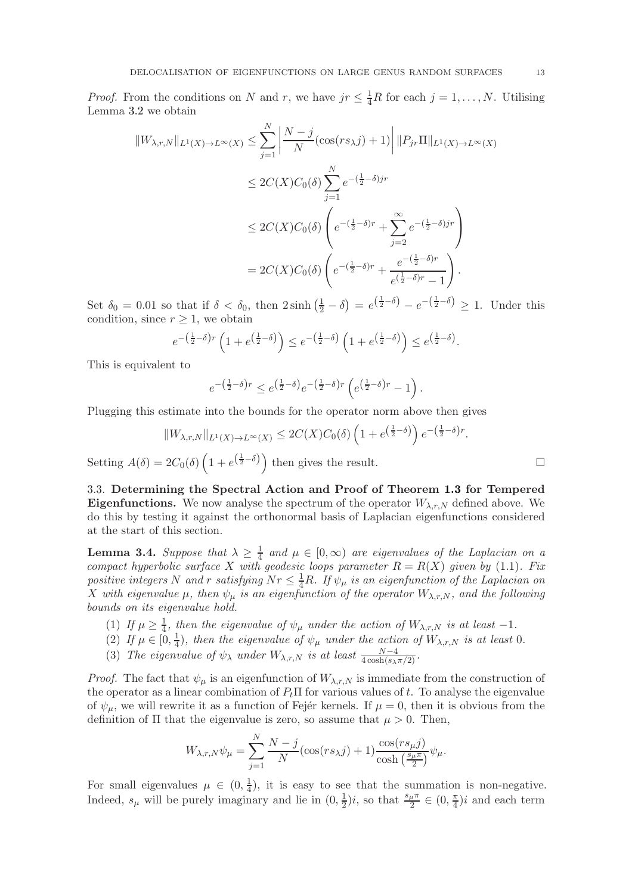*Proof.* From the conditions on N and r, we have  $jr \leq \frac{1}{4}R$  for each  $j = 1, ..., N$ . Utilising Lemma [3.2](#page-11-0) we obtain

$$
||W_{\lambda,r,N}||_{L^1(X)\to L^\infty(X)} \le \sum_{j=1}^N \left| \frac{N-j}{N} (\cos(rs_\lambda j) + 1) \right| ||P_{jr}\Pi||_{L^1(X)\to L^\infty(X)}
$$
  

$$
\le 2C(X)C_0(\delta) \sum_{j=1}^N e^{-(\frac{1}{2}-\delta)jr}
$$
  

$$
\le 2C(X)C_0(\delta) \left( e^{-(\frac{1}{2}-\delta)r} + \sum_{j=2}^\infty e^{-(\frac{1}{2}-\delta)jr} \right)
$$
  

$$
= 2C(X)C_0(\delta) \left( e^{-(\frac{1}{2}-\delta)r} + \frac{e^{-(\frac{1}{2}-\delta)r}}{e^{(\frac{1}{2}-\delta)r} - 1} \right).
$$

Set  $\delta_0 = 0.01$  so that if  $\delta < \delta_0$ , then  $2 \sinh\left(\frac{1}{2} - \delta\right) = e^{\left(\frac{1}{2} - \delta\right)} - e^{-\left(\frac{1}{2} - \delta\right)} \ge 1$ . Under this condition, since  $r \geq 1$ , we obtain

$$
e^{-\left(\frac{1}{2}-\delta\right)r}\left(1+e^{\left(\frac{1}{2}-\delta\right)}\right)\leq e^{-\left(\frac{1}{2}-\delta\right)}\left(1+e^{\left(\frac{1}{2}-\delta\right)}\right)\leq e^{\left(\frac{1}{2}-\delta\right)}.
$$

This is equivalent to

$$
e^{-\left(\frac{1}{2}-\delta\right)r} \leq e^{\left(\frac{1}{2}-\delta\right)}e^{-\left(\frac{1}{2}-\delta\right)r}\left(e^{\left(\frac{1}{2}-\delta\right)r}-1\right).
$$

Plugging this estimate into the bounds for the operator norm above then gives

$$
||W_{\lambda,r,N}||_{L^1(X)\to L^\infty(X)} \leq 2C(X)C_0(\delta)\left(1+e^{\left(\frac{1}{2}-\delta\right)}\right)e^{-\left(\frac{1}{2}-\delta\right)r}.
$$

Setting  $A(\delta) = 2C_0(\delta) \left(1 + e^{\left(\frac{1}{2} - \delta\right)}\right)$  then gives the result.

3.3. Determining the Spectral Action and Proof of Theorem [1.3](#page-4-0) for Tempered **Eigenfunctions.** We now analyse the spectrum of the operator  $W_{\lambda,r,N}$  defined above. We do this by testing it against the orthonormal basis of Laplacian eigenfunctions considered at the start of this section.

<span id="page-12-0"></span>**Lemma 3.4.** Suppose that  $\lambda \geq \frac{1}{4}$  $\frac{1}{4}$  and  $\mu \in [0, \infty)$  are eigenvalues of the Laplacian on a compact hyperbolic surface X with geodesic loops parameter  $R = R(X)$  given by [\(1.1\)](#page-3-0). Fix positive integers N and r satisfying  $Nr\leq \frac{1}{4}R$ . If  $\psi_\mu$  is an eigenfunction of the Laplacian on X with eigenvalue  $\mu$ , then  $\psi_{\mu}$  is an eigenfunction of the operator  $W_{\lambda,r,N}$ , and the following bounds on its eigenvalue hold.

- (1) If  $\mu \geq \frac{1}{4}$ , then the eigenvalue of  $\psi_{\mu}$  under the action of  $W_{\lambda,r,N}$  is at least -1.
- (2) If  $\mu \in [0, \frac{1}{4}]$  $\frac{1}{4}$ ), then the eigenvalue of  $\psi_{\mu}$  under the action of  $W_{\lambda,r,N}$  is at least 0.
- (3) The eigenvalue of  $\psi_{\lambda}$  under  $W_{\lambda,r,N}$  is at least  $\frac{N-4}{4\cosh(s_{\lambda}\pi/2)}$ .

*Proof.* The fact that  $\psi_{\mu}$  is an eigenfunction of  $W_{\lambda,r,N}$  is immediate from the construction of the operator as a linear combination of  $P_t \Pi$  for various values of t. To analyse the eigenvalue of  $\psi_{\mu}$ , we will rewrite it as a function of Fejer kernels. If  $\mu = 0$ , then it is obvious from the definition of  $\Pi$  that the eigenvalue is zero, so assume that  $\mu > 0$ . Then,

$$
W_{\lambda,r,N}\psi_{\mu} = \sum_{j=1}^{N} \frac{N-j}{N} (\cos(rs_{\lambda}j) + 1) \frac{\cos(rs_{\mu}j)}{\cosh(\frac{s_{\mu}\pi}{2})}\psi_{\mu}.
$$

For small eigenvalues  $\mu \in (0, \frac{1}{4})$  $\frac{1}{4}$ , it is easy to see that the summation is non-negative. Indeed,  $s_{\mu}$  will be purely imaginary and lie in  $(0, \frac{1}{2})$  $(\frac{1}{2})i$ , so that  $\frac{s_{\mu}\pi}{2} \in (0, \frac{\pi}{4})$  $\frac{\pi}{4}$ )*i* and each term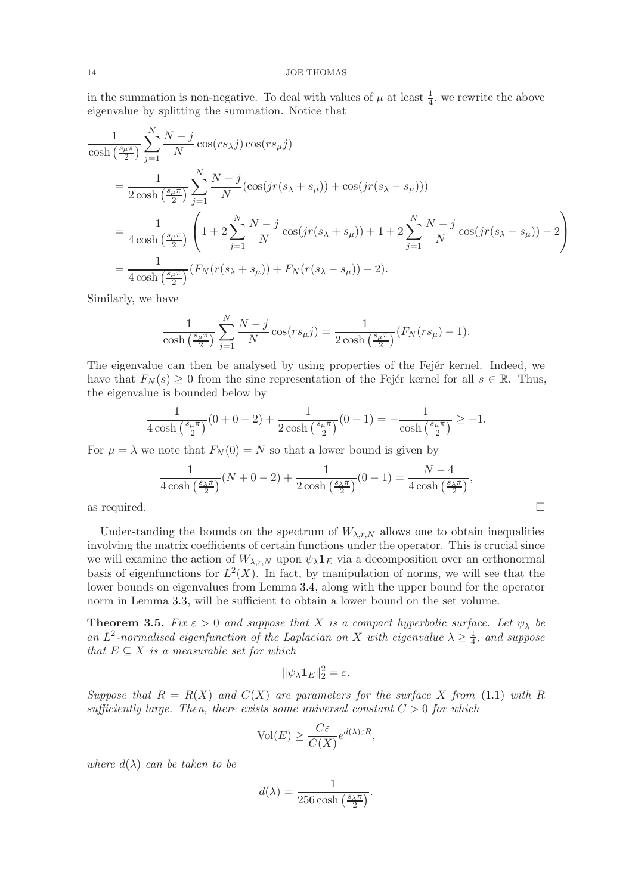in the summation is non-negative. To deal with values of  $\mu$  at least  $\frac{1}{4}$ , we rewrite the above eigenvalue by splitting the summation. Notice that

$$
\frac{1}{\cosh\left(\frac{s_{\mu}\pi}{2}\right)}\sum_{j=1}^{N}\frac{N-j}{N}\cos(rs_{\lambda}j)\cos(rs_{\mu}j)
$$
\n
$$
=\frac{1}{2\cosh\left(\frac{s_{\mu}\pi}{2}\right)}\sum_{j=1}^{N}\frac{N-j}{N}\left(\cos(jr(s_{\lambda}+s_{\mu}))+\cos(jr(s_{\lambda}-s_{\mu}))\right)
$$
\n
$$
=\frac{1}{4\cosh\left(\frac{s_{\mu}\pi}{2}\right)}\left(1+2\sum_{j=1}^{N}\frac{N-j}{N}\cos(jr(s_{\lambda}+s_{\mu}))+1+2\sum_{j=1}^{N}\frac{N-j}{N}\cos(jr(s_{\lambda}-s_{\mu}))-2\right)
$$
\n
$$
=\frac{1}{4\cosh\left(\frac{s_{\mu}\pi}{2}\right)}\left(F_{N}(r(s_{\lambda}+s_{\mu}))+F_{N}(r(s_{\lambda}-s_{\mu}))-2\right).
$$

Similarly, we have

$$
\frac{1}{\cosh\left(\frac{s_{\mu}\pi}{2}\right)}\sum_{j=1}^{N}\frac{N-j}{N}\cos(rs_{\mu}j)=\frac{1}{2\cosh\left(\frac{s_{\mu}\pi}{2}\right)}(F_{N}(rs_{\mu})-1).
$$

The eigenvalue can then be analysed by using properties of the Fejer kernel. Indeed, we have that  $F_N(s) \geq 0$  from the sine representation of the Fejér kernel for all  $s \in \mathbb{R}$ . Thus, the eigenvalue is bounded below by

$$
\frac{1}{4\cosh\left(\frac{s_{\mu}\pi}{2}\right)}(0+0-2)+\frac{1}{2\cosh\left(\frac{s_{\mu}\pi}{2}\right)}(0-1)=-\frac{1}{\cosh\left(\frac{s_{\mu}\pi}{2}\right)}\geq -1.
$$

For  $\mu = \lambda$  we note that  $F_N(0) = N$  so that a lower bound is given by

$$
\frac{1}{4\cosh\left(\frac{s_{\lambda}\pi}{2}\right)}(N+0-2)+\frac{1}{2\cosh\left(\frac{s_{\lambda}\pi}{2}\right)}(0-1)=\frac{N-4}{4\cosh\left(\frac{s_{\lambda}\pi}{2}\right)},
$$
 as required.

Understanding the bounds on the spectrum of  $W_{\lambda,r,N}$  allows one to obtain inequalities involving the matrix coefficients of certain functions under the operator. This is crucial since we will examine the action of  $W_{\lambda,r,N}$  upon  $\psi_{\lambda}\mathbf{1}_E$  via a decomposition over an orthonormal basis of eigenfunctions for  $L^2(X)$ . In fact, by manipulation of norms, we will see that the lower bounds on eigenvalues from Lemma [3.4,](#page-12-0) along with the upper bound for the operator norm in Lemma [3.3,](#page-11-1) will be sufficient to obtain a lower bound on the set volume.

<span id="page-13-0"></span>**Theorem 3.5.** Fix  $\varepsilon > 0$  and suppose that X is a compact hyperbolic surface. Let  $\psi_{\lambda}$  be an  $L^2$ -normalised eigenfunction of the Laplacian on X with eigenvalue  $\lambda \geq \frac{1}{4}$  $\frac{1}{4}$ , and suppose that  $E \subseteq X$  is a measurable set for which

$$
\|\psi_\lambda \mathbf{1}_E\|_2^2 = \varepsilon.
$$

Suppose that  $R = R(X)$  and  $C(X)$  are parameters for the surface X from [\(1.1\)](#page-3-0) with R sufficiently large. Then, there exists some universal constant  $C > 0$  for which

$$
\text{Vol}(E) \ge \frac{C\varepsilon}{C(X)} e^{d(\lambda)\varepsilon R},
$$

where  $d(\lambda)$  can be taken to be

$$
d(\lambda) = \frac{1}{256 \cosh\left(\frac{s_{\lambda}\pi}{2}\right)}.
$$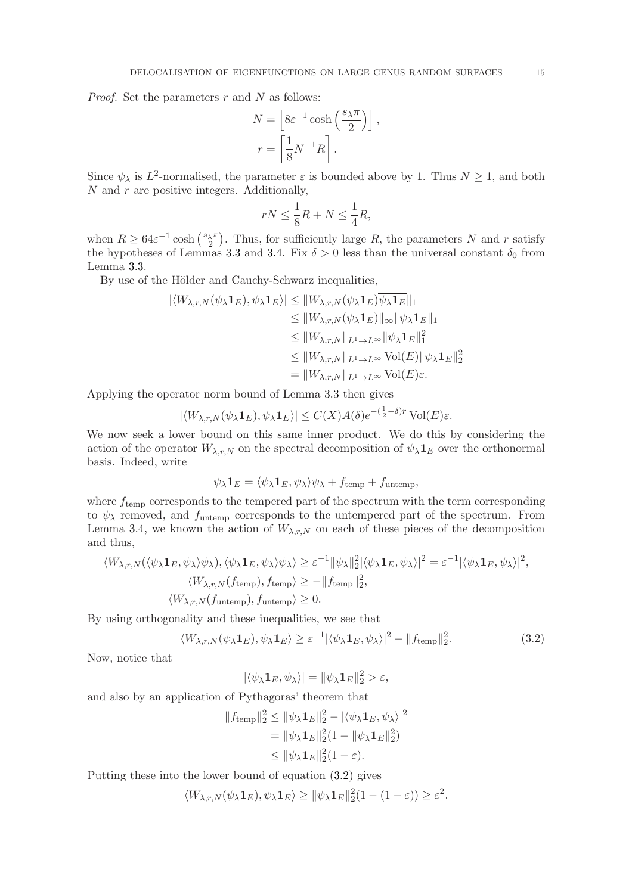*Proof.* Set the parameters  $r$  and  $N$  as follows:

$$
N = \left[8\varepsilon^{-1} \cosh\left(\frac{s\lambda\pi}{2}\right)\right],
$$
  

$$
r = \left[\frac{1}{8}N^{-1}R\right].
$$

Since  $\psi_{\lambda}$  is  $L^2$ -normalised, the parameter  $\varepsilon$  is bounded above by 1. Thus  $N \geq 1$ , and both  $N$  and  $r$  are positive integers. Additionally,

$$
rN \le \frac{1}{8}R + N \le \frac{1}{4}R,
$$

when  $R \geq 64\varepsilon^{-1} \cosh\left(\frac{s_{\lambda}\pi}{2}\right)$ . Thus, for sufficiently large R, the parameters N and r satisfy the hypotheses of Lemmas [3.3](#page-11-1) and [3.4.](#page-12-0) Fix  $\delta > 0$  less than the universal constant  $\delta_0$  from Lemma [3.3.](#page-11-1)

By use of the Hölder and Cauchy-Schwarz inequalities,

$$
|\langle W_{\lambda,r,N}(\psi_{\lambda}\mathbf{1}_E), \psi_{\lambda}\mathbf{1}_E \rangle| \le ||W_{\lambda,r,N}(\psi_{\lambda}\mathbf{1}_E)\overline{\psi_{\lambda}\mathbf{1}_E}||_1
$$
  
\n
$$
\le ||W_{\lambda,r,N}(\psi_{\lambda}\mathbf{1}_E)||_{\infty} ||\psi_{\lambda}\mathbf{1}_E||_1
$$
  
\n
$$
\le ||W_{\lambda,r,N}||_{L^1 \to L^{\infty}} ||\psi_{\lambda}\mathbf{1}_E||_1^2
$$
  
\n
$$
\le ||W_{\lambda,r,N}||_{L^1 \to L^{\infty}} \operatorname{Vol}(E)||\psi_{\lambda}\mathbf{1}_E||_2^2
$$
  
\n
$$
= ||W_{\lambda,r,N}||_{L^1 \to L^{\infty}} \operatorname{Vol}(E)\varepsilon.
$$

Applying the operator norm bound of Lemma [3.3](#page-11-1) then gives

$$
|\langle W_{\lambda,r,N}(\psi_{\lambda}\mathbf{1}_E),\psi_{\lambda}\mathbf{1}_E\rangle|\leq C(X)A(\delta)e^{-(\frac{1}{2}-\delta)r}\operatorname{Vol}(E)\varepsilon.
$$

We now seek a lower bound on this same inner product. We do this by considering the action of the operator  $W_{\lambda,r,N}$  on the spectral decomposition of  $\psi_{\lambda}\mathbf{1}_E$  over the orthonormal basis. Indeed, write

$$
\psi_{\lambda} \mathbf{1}_{E} = \langle \psi_{\lambda} \mathbf{1}_{E}, \psi_{\lambda} \rangle \psi_{\lambda} + f_{\text{temp}} + f_{\text{untemp}},
$$

where  $f_{temp}$  corresponds to the tempered part of the spectrum with the term corresponding to  $\psi_{\lambda}$  removed, and  $f_{\text{untemp}}$  corresponds to the untempered part of the spectrum. From Lemma [3.4,](#page-12-0) we known the action of  $W_{\lambda,r,N}$  on each of these pieces of the decomposition and thus,

$$
\langle W_{\lambda,r,N}(\langle \psi_{\lambda} \mathbf{1}_E, \psi_{\lambda} \rangle \psi_{\lambda}), \langle \psi_{\lambda} \mathbf{1}_E, \psi_{\lambda} \rangle \psi_{\lambda} \rangle \geq \varepsilon^{-1} ||\psi_{\lambda}||_2^2 |\langle \psi_{\lambda} \mathbf{1}_E, \psi_{\lambda} \rangle|^2 = \varepsilon^{-1} |\langle \psi_{\lambda} \mathbf{1}_E, \psi_{\lambda} \rangle|^2,
$$
  

$$
\langle W_{\lambda,r,N}(f_{\text{temp}}), f_{\text{temp}} \rangle \geq -||f_{\text{temp}}||_2^2,
$$
  

$$
\langle W_{\lambda,r,N}(f_{\text{untemp}}), f_{\text{untemp}} \rangle \geq 0.
$$

By using orthogonality and these inequalities, we see that

$$
\langle W_{\lambda,r,N}(\psi_{\lambda}\mathbf{1}_E), \psi_{\lambda}\mathbf{1}_E \rangle \ge \varepsilon^{-1} |\langle \psi_{\lambda}\mathbf{1}_E, \psi_{\lambda} \rangle|^2 - \|f_{\text{temp}}\|_2^2.
$$
 (3.2)

Now, notice that

<span id="page-14-0"></span>
$$
|\langle \psi_{\lambda} \mathbf{1}_E, \psi_{\lambda} \rangle| = ||\psi_{\lambda} \mathbf{1}_E||_2^2 > \varepsilon,
$$

and also by an application of Pythagoras' theorem that

$$
||f_{\text{temp}}||_2^2 \le ||\psi_{\lambda} \mathbf{1}_E||_2^2 - |\langle \psi_{\lambda} \mathbf{1}_E, \psi_{\lambda} \rangle|^2
$$
  
=  $||\psi_{\lambda} \mathbf{1}_E||_2^2 (1 - ||\psi_{\lambda} \mathbf{1}_E||_2^2)$   
 $\le ||\psi_{\lambda} \mathbf{1}_E||_2^2 (1 - \varepsilon).$ 

Putting these into the lower bound of equation [\(3.2\)](#page-14-0) gives

$$
\langle W_{\lambda,r,N}(\psi_{\lambda}\mathbf{1}_E), \psi_{\lambda}\mathbf{1}_E \rangle \geq \|\psi_{\lambda}\mathbf{1}_E\|_2^2(1-(1-\varepsilon)) \geq \varepsilon^2.
$$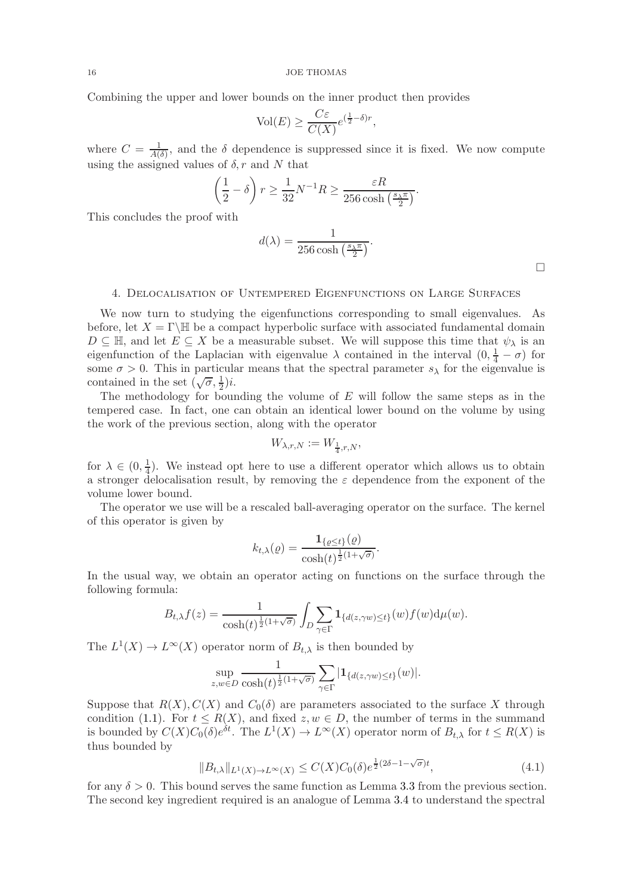Combining the upper and lower bounds on the inner product then provides

$$
\text{Vol}(E) \ge \frac{C\varepsilon}{C(X)} e^{(\frac{1}{2} - \delta)r},
$$

where  $C = \frac{1}{40}$  $\frac{1}{A(\delta)}$ , and the  $\delta$  dependence is suppressed since it is fixed. We now compute using the assigned values of  $\delta$ , r and N that

$$
\left(\frac{1}{2} - \delta\right) r \ge \frac{1}{32} N^{-1} R \ge \frac{\varepsilon R}{256 \cosh\left(\frac{s\sqrt{\pi}}{2}\right)}.
$$

This concludes the proof with

$$
d(\lambda) = \frac{1}{256 \cosh\left(\frac{s_{\lambda}\pi}{2}\right)}.
$$

4. Delocalisation of Untempered Eigenfunctions on Large Surfaces

We now turn to studying the eigenfunctions corresponding to small eigenvalues. As before, let  $X = \Gamma \backslash \mathbb{H}$  be a compact hyperbolic surface with associated fundamental domain  $D \subseteq \mathbb{H}$ , and let  $E \subseteq X$  be a measurable subset. We will suppose this time that  $\psi_{\lambda}$  is an eigenfunction of the Laplacian with eigenvalue  $\lambda$  contained in the interval  $(0, \frac{1}{4} - \sigma)$  for some  $\sigma > 0$ . This in particular means that the spectral parameter  $s_{\lambda}$  for the eigenvalue is contained in the set  $(\sqrt{\sigma}, \frac{1}{2})i$ .

The methodology for bounding the volume of  $E$  will follow the same steps as in the tempered case. In fact, one can obtain an identical lower bound on the volume by using the work of the previous section, along with the operator

$$
W_{\lambda,r,N} := W_{\frac{1}{4},r,N},
$$

for  $\lambda \in (0, \frac{1}{4})$  $\frac{1}{4}$ ). We instead opt here to use a different operator which allows us to obtain a stronger delocalisation result, by removing the  $\varepsilon$  dependence from the exponent of the volume lower bound.

The operator we use will be a rescaled ball-averaging operator on the surface. The kernel of this operator is given by

$$
k_{t,\lambda}(\varrho) = \frac{\mathbf{1}_{\{\varrho \leq t\}}(\varrho)}{\cosh(t)^{\frac{1}{2}(1+\sqrt{\sigma})}}.
$$

In the usual way, we obtain an operator acting on functions on the surface through the following formula:

$$
B_{t,\lambda}f(z) = \frac{1}{\cosh(t)^{\frac{1}{2}(1+\sqrt{\sigma})}} \int_D \sum_{\gamma \in \Gamma} \mathbf{1}_{\{d(z,\gamma w) \le t\}}(w) f(w) \mathrm{d}\mu(w).
$$

The  $L^1(X) \to L^{\infty}(X)$  operator norm of  $B_{t,\lambda}$  is then bounded by

$$
\sup_{z,w\in D} \frac{1}{\cosh(t)^{\frac{1}{2}(1+\sqrt{\sigma})}} \sum_{\gamma\in\Gamma} |\mathbf{1}_{\{d(z,\gamma w)\leq t\}}(w)|.
$$

Suppose that  $R(X)$ ,  $C(X)$  and  $C_0(\delta)$  are parameters associated to the surface X through condition [\(1.1\)](#page-3-0). For  $t \leq R(X)$ , and fixed  $z, w \in D$ , the number of terms in the summand is bounded by  $C(X)C_0(\delta)e^{\delta t}$ . The  $L^1(X) \to L^{\infty}(X)$  operator norm of  $B_{t,\lambda}$  for  $t \leq R(X)$  is thus bounded by

<span id="page-15-0"></span>
$$
||B_{t,\lambda}||_{L^1(X)\to L^\infty(X)} \leq C(X)C_0(\delta)e^{\frac{1}{2}(2\delta - 1 - \sqrt{\sigma})t},\tag{4.1}
$$

for any  $\delta > 0$ . This bound serves the same function as Lemma [3.3](#page-11-1) from the previous section. The second key ingredient required is an analogue of Lemma [3.4](#page-12-0) to understand the spectral

 $\Box$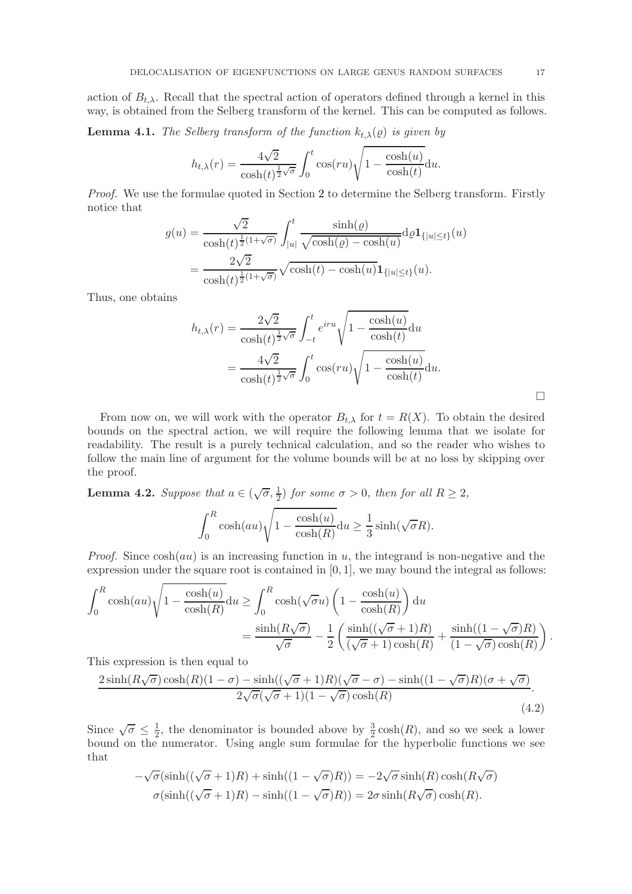action of  $B_{t,\lambda}$ . Recall that the spectral action of operators defined through a kernel in this way, is obtained from the Selberg transform of the kernel. This can be computed as follows.

**Lemma 4.1.** The Selberg transform of the function  $k_{t,\lambda}(\varrho)$  is given by

$$
h_{t,\lambda}(r) = \frac{4\sqrt{2}}{\cosh(t)^{\frac{1}{2}\sqrt{\sigma}}} \int_0^t \cos(ru) \sqrt{1 - \frac{\cosh(u)}{\cosh(t)}} \mathrm{d}u.
$$

Proof. We use the formulae quoted in Section [2](#page-6-0) to determine the Selberg transform. Firstly notice that

$$
g(u) = \frac{\sqrt{2}}{\cosh(t)^{\frac{1}{2}(1+\sqrt{\sigma})}} \int_{|u|}^{t} \frac{\sinh(\varrho)}{\sqrt{\cosh(\varrho) - \cosh(u)}} d\varrho \mathbf{1}_{\{|u| \le t\}}(u)
$$

$$
= \frac{2\sqrt{2}}{\cosh(t)^{\frac{1}{2}(1+\sqrt{\sigma})}} \sqrt{\cosh(t) - \cosh(u)} \mathbf{1}_{\{|u| \le t\}}(u).
$$

Thus, one obtains

$$
h_{t,\lambda}(r) = \frac{2\sqrt{2}}{\cosh(t)^{\frac{1}{2}\sqrt{\sigma}}} \int_{-t}^{t} e^{iru} \sqrt{1 - \frac{\cosh(u)}{\cosh(t)}} du
$$
  
= 
$$
\frac{4\sqrt{2}}{\cosh(t)^{\frac{1}{2}\sqrt{\sigma}}} \int_{0}^{t} \cos(ru) \sqrt{1 - \frac{\cosh(u)}{\cosh(t)}} du.
$$

From now on, we will work with the operator  $B_{t,\lambda}$  for  $t = R(X)$ . To obtain the desired bounds on the spectral action, we will require the following lemma that we isolate for readability. The result is a purely technical calculation, and so the reader who wishes to follow the main line of argument for the volume bounds will be at no loss by skipping over the proof.

<span id="page-16-1"></span>**Lemma 4.2.** Suppose that  $a \in (\sqrt{\sigma}, \frac{1}{2})$  for some  $\sigma > 0$ , then for all  $R \ge 2$ ,

$$
\int_0^R \cosh(au) \sqrt{1 - \frac{\cosh(u)}{\cosh(R)}} du \ge \frac{1}{3} \sinh(\sqrt{\sigma}R).
$$

*Proof.* Since  $cosh(au)$  is an increasing function in u, the integrand is non-negative and the expression under the square root is contained in  $[0, 1]$ , we may bound the integral as follows:

$$
\int_0^R \cosh(au)\sqrt{1-\frac{\cosh(u)}{\cosh(R)}}\mathrm{d}u \ge \int_0^R \cosh(\sqrt{\sigma}u)\left(1-\frac{\cosh(u)}{\cosh(R)}\right)\mathrm{d}u
$$

$$
=\frac{\sinh(R\sqrt{\sigma})}{\sqrt{\sigma}} - \frac{1}{2}\left(\frac{\sinh((\sqrt{\sigma}+1)R)}{(\sqrt{\sigma}+1)\cosh(R)} + \frac{\sinh((1-\sqrt{\sigma})R)}{(1-\sqrt{\sigma})\cosh(R)}\right)
$$

This expression is then equal to

$$
\frac{2\sinh(R\sqrt{\sigma})\cosh(R)(1-\sigma)-\sinh((\sqrt{\sigma}+1)R)(\sqrt{\sigma}-\sigma)-\sinh((1-\sqrt{\sigma})R)(\sigma+\sqrt{\sigma})}{2\sqrt{\sigma}(\sqrt{\sigma}+1)(1-\sqrt{\sigma})\cosh(R)}.
$$
\n(4.2)

Since  $\sqrt{\sigma} \leq \frac{1}{2}$  $\frac{1}{2}$ , the denominator is bounded above by  $\frac{3}{2} \cosh(R)$ , and so we seek a lower bound on the numerator. Using angle sum formulae for the hyperbolic functions we see that

$$
-\sqrt{\sigma}(\sinh((\sqrt{\sigma}+1)R) + \sinh((1-\sqrt{\sigma})R)) = -2\sqrt{\sigma}\sinh(R)\cosh(R\sqrt{\sigma})
$$

$$
\sigma(\sinh((\sqrt{\sigma}+1)R) - \sinh((1-\sqrt{\sigma})R)) = 2\sigma\sinh(R\sqrt{\sigma})\cosh(R).
$$

 $\Box$ 

<span id="page-16-0"></span>.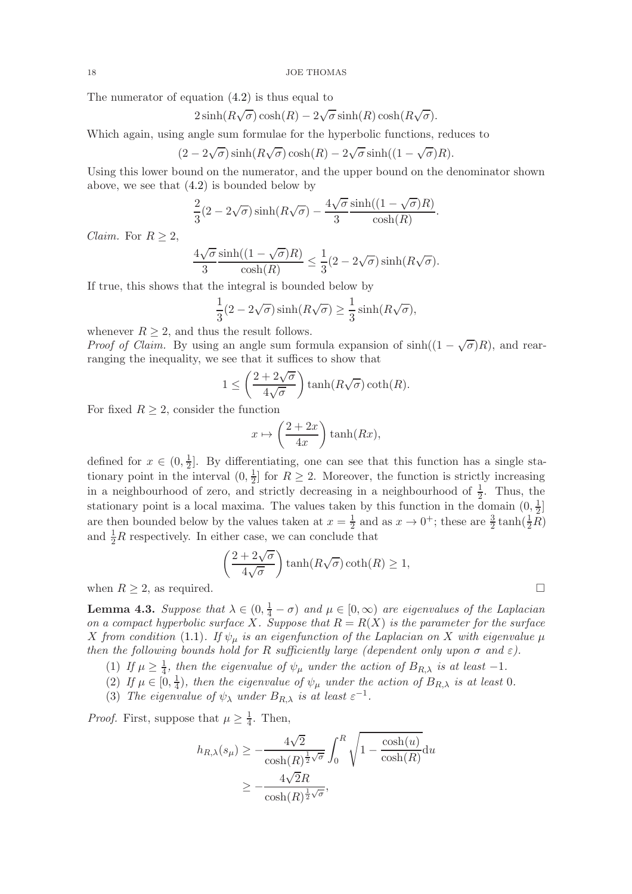The numerator of equation [\(4.2\)](#page-16-0) is thus equal to

$$
2\sinh(R\sqrt{\sigma})\cosh(R) - 2\sqrt{\sigma}\sinh(R)\cosh(R\sqrt{\sigma}).
$$

Which again, using angle sum formulae for the hyperbolic functions, reduces to

$$
(2 - 2\sqrt{\sigma})\sinh(R\sqrt{\sigma})\cosh(R) - 2\sqrt{\sigma}\sinh((1 - \sqrt{\sigma})R).
$$

Using this lower bound on the numerator, and the upper bound on the denominator shown above, we see that [\(4.2\)](#page-16-0) is bounded below by

$$
\frac{2}{3}(2-2\sqrt{\sigma})\sinh(R\sqrt{\sigma}) - \frac{4\sqrt{\sigma}}{3}\frac{\sinh((1-\sqrt{\sigma})R)}{\cosh(R)}.
$$

*Claim.* For  $R > 2$ ,

$$
\frac{4\sqrt{\sigma}}{3} \frac{\sinh((1-\sqrt{\sigma})R)}{\cosh(R)} \le \frac{1}{3}(2-2\sqrt{\sigma})\sinh(R\sqrt{\sigma}).
$$

If true, this shows that the integral is bounded below by

$$
\frac{1}{3}(2 - 2\sqrt{\sigma})\sinh(R\sqrt{\sigma}) \ge \frac{1}{3}\sinh(R\sqrt{\sigma}),
$$

whenever  $R > 2$ , and thus the result follows.

*Proof of Claim.* By using an angle sum formula expansion of  $sinh((1-\sqrt{\sigma})R)$ , and rearranging the inequality, we see that it suffices to show that

$$
1 \le \left(\frac{2 + 2\sqrt{\sigma}}{4\sqrt{\sigma}}\right) \tanh(R\sqrt{\sigma}) \coth(R).
$$

For fixed  $R \geq 2$ , consider the function

$$
x \mapsto \left(\frac{2+2x}{4x}\right) \tanh(Rx),
$$

defined for  $x \in (0, \frac{1}{2})$  $\frac{1}{2}$ . By differentiating, one can see that this function has a single stationary point in the interval  $(0, \frac{1}{2})$  $\frac{1}{2}$  for  $R \geq 2$ . Moreover, the function is strictly increasing in a neighbourhood of zero, and strictly decreasing in a neighbourhood of  $\frac{1}{2}$ . Thus, the stationary point is a local maxima. The values taken by this function in the domain  $(0, \frac{1}{2})$  $\frac{1}{2}$ ] are then bounded below by the values taken at  $x=\frac{1}{2}$  $\frac{1}{2}$  and as  $x \to 0^+$ ; these are  $\frac{3}{2} \tanh(\frac{1}{2}R)$ and  $\frac{1}{2}R$  respectively. In either case, we can conclude that

$$
\left(\frac{2+2\sqrt{\sigma}}{4\sqrt{\sigma}}\right)\tanh(R\sqrt{\sigma})\coth(R) \ge 1,
$$

when  $R \geq 2$ , as required.

<span id="page-17-0"></span>**Lemma 4.3.** Suppose that  $\lambda \in (0, \frac{1}{4} - \sigma)$  and  $\mu \in [0, \infty)$  are eigenvalues of the Laplacian on a compact hyperbolic surface X. Suppose that  $R = R(X)$  is the parameter for the surface X from condition [\(1.1\)](#page-3-0). If  $\psi_{\mu}$  is an eigenfunction of the Laplacian on X with eigenvalue  $\mu$ then the following bounds hold for R sufficiently large (dependent only upon  $\sigma$  and  $\varepsilon$ ).

(1) If  $\mu \geq \frac{1}{4}$  $\frac{1}{4}$ , then the eigenvalue of  $\psi_{\mu}$  under the action of  $B_{R,\lambda}$  is at least  $-1$ .

(2) If  $\mu \in [0, \frac{1}{4}]$  $\frac{1}{4}$ ), then the eigenvalue of  $\psi_{\mu}$  under the action of  $B_{R,\lambda}$  is at least 0.

(3) The eigenvalue of  $\psi_{\lambda}$  under  $B_{R,\lambda}$  is at least  $\varepsilon^{-1}$ .

*Proof.* First, suppose that  $\mu \geq \frac{1}{4}$  $\frac{1}{4}$ . Then,

$$
h_{R,\lambda}(s_{\mu}) \ge -\frac{4\sqrt{2}}{\cosh(R)^{\frac{1}{2}\sqrt{\sigma}}} \int_0^R \sqrt{1 - \frac{\cosh(u)}{\cosh(R)}} du
$$
  
 
$$
\ge -\frac{4\sqrt{2}R}{\cosh(R)^{\frac{1}{2}\sqrt{\sigma}}},
$$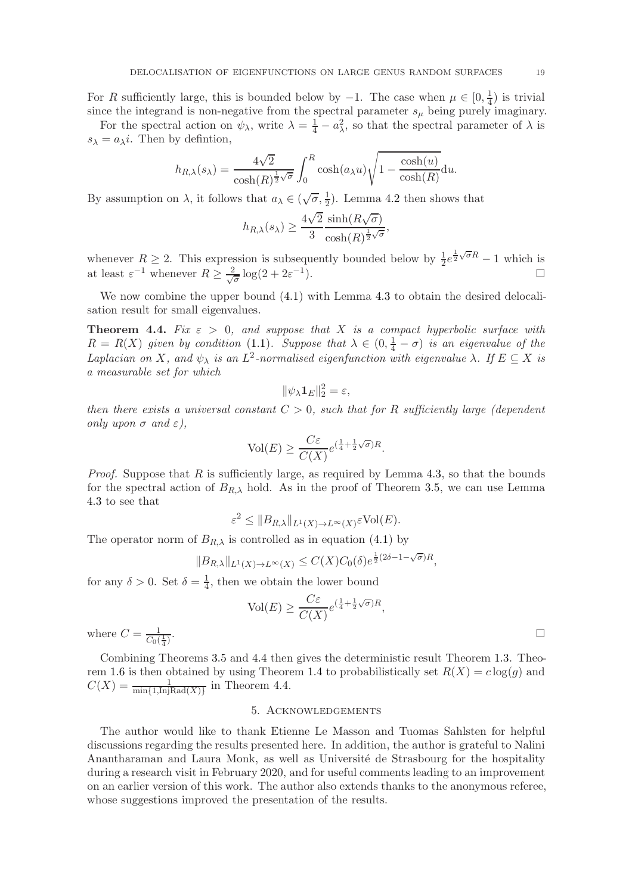For R sufficiently large, this is bounded below by  $-1$ . The case when  $\mu \in [0, \frac{1}{4}]$  $\frac{1}{4}$ ) is trivial since the integrand is non-negative from the spectral parameter  $s<sub>u</sub>$  being purely imaginary.

For the spectral action on  $\psi_{\lambda}$ , write  $\lambda = \frac{1}{4} - a_{\lambda}^2$ , so that the spectral parameter of  $\lambda$  is  $s_{\lambda} = a_{\lambda}i$ . Then by defintion,

$$
h_{R,\lambda}(s_{\lambda}) = \frac{4\sqrt{2}}{\cosh(R)^{\frac{1}{2}\sqrt{\sigma}}} \int_0^R \cosh(a_{\lambda}u) \sqrt{1 - \frac{\cosh(u)}{\cosh(R)}} \mathrm{d}u.
$$

By assumption on  $\lambda$ , it follows that  $a_{\lambda} \in (\sqrt{\sigma}, \frac{1}{2})$ . Lemma [4.2](#page-16-1) then shows that

$$
h_{R,\lambda}(s_{\lambda}) \ge \frac{4\sqrt{2}}{3} \frac{\sinh(R\sqrt{\sigma})}{\cosh(R)^{\frac{1}{2}\sqrt{\sigma}}},
$$

whenever  $R \geq 2$ . This expression is subsequently bounded below by  $\frac{1}{2}e^{\frac{1}{2}\sqrt{\sigma}R} - 1$  which is at least  $\varepsilon^{-1}$  whenever  $R \geq \frac{2}{\sqrt{d}}$  $\frac{2}{\sigma}\log(2+2\varepsilon^{-1})$ ).  $\qquad \qquad \Box$ 

We now combine the upper bound  $(4.1)$  with Lemma [4.3](#page-17-0) to obtain the desired delocalisation result for small eigenvalues.

<span id="page-18-0"></span>**Theorem 4.4.** Fix  $\varepsilon > 0$ , and suppose that X is a compact hyperbolic surface with  $R = R(X)$  given by condition [\(1.1\)](#page-3-0). Suppose that  $\lambda \in (0, \frac{1}{4} - \sigma)$  is an eigenvalue of the Laplacian on X, and  $\psi_{\lambda}$  is an  $L^2$ -normalised eigenfunction with eigenvalue  $\lambda$ . If  $E \subseteq X$  is a measurable set for which

$$
\|\psi_\lambda \mathbf{1}_E\|_2^2 = \varepsilon,
$$

then there exists a universal constant  $C > 0$ , such that for R sufficiently large (dependent only upon  $\sigma$  and  $\varepsilon$ ),

$$
\text{Vol}(E) \ge \frac{C\varepsilon}{C(X)} e^{(\frac{1}{4} + \frac{1}{2}\sqrt{\sigma})R}.
$$

*Proof.* Suppose that R is sufficiently large, as required by Lemma [4.3,](#page-17-0) so that the bounds for the spectral action of  $B_{R,\lambda}$  hold. As in the proof of Theorem [3.5,](#page-13-0) we can use Lemma [4.3](#page-17-0) to see that

$$
\varepsilon^2 \leq \|B_{R,\lambda}\|_{L^1(X) \to L^\infty(X)} \varepsilon \text{Vol}(E).
$$

The operator norm of  $B_{R,\lambda}$  is controlled as in equation [\(4.1\)](#page-15-0) by

$$
||B_{R,\lambda}||_{L^1(X)\to L^\infty(X)} \leq C(X)C_0(\delta)e^{\frac{1}{2}(2\delta - 1 - \sqrt{\sigma})R},
$$

for any  $\delta > 0$ . Set  $\delta = \frac{1}{4}$  $\frac{1}{4}$ , then we obtain the lower bound

$$
\text{Vol}(E) \ge \frac{C\varepsilon}{C(X)} e^{(\frac{1}{4} + \frac{1}{2}\sqrt{\sigma})R},
$$

where  $C = \frac{1}{C_2}$  $C_0(\frac{1}{4})$ 

Combining Theorems [3.5](#page-13-0) and [4.4](#page-18-0) then gives the deterministic result Theorem [1.3.](#page-4-0) Theo-rem [1.6](#page-5-1) is then obtained by using Theorem [1.4](#page-5-2) to probabilistically set  $R(X) = c \log(g)$  and  $C(X) = \frac{1}{\min\{1, \text{InjRad}(X)\}}$  in Theorem [4.4.](#page-18-0)

## 5. Acknowledgements

The author would like to thank Etienne Le Masson and Tuomas Sahlsten for helpful discussions regarding the results presented here. In addition, the author is grateful to Nalini Anantharaman and Laura Monk, as well as Université de Strasbourg for the hospitality during a research visit in February 2020, and for useful comments leading to an improvement on an earlier version of this work. The author also extends thanks to the anonymous referee, whose suggestions improved the presentation of the results.

.